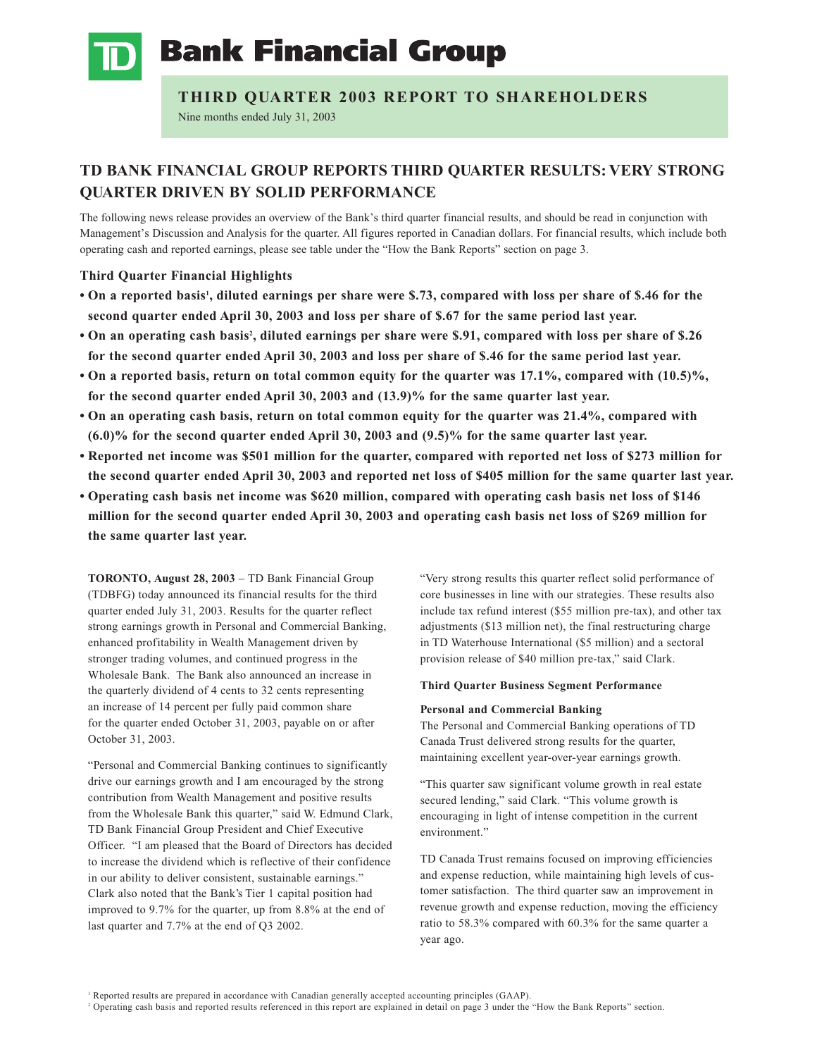

**Bank Financial Group** 

# **THIRD QUARTER 2003 REPORT TO SHAREHOLDERS**

Nine months ended July 31, 2003

# **TD BANK FINANCIAL GROUP REPORTS THIRD QUARTER RESULTS: VERY STRONG QUARTER DRIVEN BY SOLID PERFORMANCE**

The following news release provides an overview of the Bank's third quarter financial results, and should be read in conjunction with Management's Discussion and Analysis for the quarter. All figures reported in Canadian dollars. For financial results, which include both operating cash and reported earnings, please see table under the "How the Bank Reports" section on page 3.

## **Third Quarter Financial Highlights**

- On a reported basis<sup>1</sup>, diluted earnings per share were \$.73, compared with loss per share of \$.46 for the **second quarter ended April 30, 2003 and loss per share of \$.67 for the same period last year.**
- On an operating cash basis<sup>2</sup>, diluted earnings per share were \$.91, compared with loss per share of \$.26 **for the second quarter ended April 30, 2003 and loss per share of \$.46 for the same period last year.**
- **• On a reported basis, return on total common equity for the quarter was 17.1%, compared with (10.5)%, for the second quarter ended April 30, 2003 and (13.9)% for the same quarter last year.**
- **• On an operating cash basis, return on total common equity for the quarter was 21.4%, compared with (6.0)% for the second quarter ended April 30, 2003 and (9.5)% for the same quarter last year.**
- **• Reported net income was \$501 million for the quarter, compared with reported net loss of \$273 million for the second quarter ended April 30, 2003 and reported net loss of \$405 million for the same quarter last year.**
- **• Operating cash basis net income was \$620 million, compared with operating cash basis net loss of \$146 million for the second quarter ended April 30, 2003 and operating cash basis net loss of \$269 million for the same quarter last year.**

**TORONTO, August 28, 2003** – TD Bank Financial Group (TDBFG) today announced its financial results for the third quarter ended July 31, 2003. Results for the quarter reflect strong earnings growth in Personal and Commercial Banking, enhanced profitability in Wealth Management driven by stronger trading volumes, and continued progress in the Wholesale Bank. The Bank also announced an increase in the quarterly dividend of 4 cents to 32 cents representing an increase of 14 percent per fully paid common share for the quarter ended October 31, 2003, payable on or after October 31, 2003.

"Personal and Commercial Banking continues to significantly drive our earnings growth and I am encouraged by the strong contribution from Wealth Management and positive results from the Wholesale Bank this quarter," said W. Edmund Clark, TD Bank Financial Group President and Chief Executive Officer. "I am pleased that the Board of Directors has decided to increase the dividend which is reflective of their confidence in our ability to deliver consistent, sustainable earnings." Clark also noted that the Bank's Tier 1 capital position had improved to 9.7% for the quarter, up from 8.8% at the end of last quarter and 7.7% at the end of Q3 2002.

"Very strong results this quarter reflect solid performance of core businesses in line with our strategies. These results also include tax refund interest (\$55 million pre-tax), and other tax adjustments (\$13 million net), the final restructuring charge in TD Waterhouse International (\$5 million) and a sectoral provision release of \$40 million pre-tax," said Clark.

## **Third Quarter Business Segment Performance**

## **Personal and Commercial Banking**

The Personal and Commercial Banking operations of TD Canada Trust delivered strong results for the quarter, maintaining excellent year-over-year earnings growth.

"This quarter saw significant volume growth in real estate secured lending," said Clark. "This volume growth is encouraging in light of intense competition in the current environment."

TD Canada Trust remains focused on improving efficiencies and expense reduction, while maintaining high levels of customer satisfaction. The third quarter saw an improvement in revenue growth and expense reduction, moving the efficiency ratio to 58.3% compared with 60.3% for the same quarter a year ago.

<sup>1</sup> Reported results are prepared in accordance with Canadian generally accepted accounting principles (GAAP).

<sup>2</sup> Operating cash basis and reported results referenced in this report are explained in detail on page 3 under the "How the Bank Reports" section.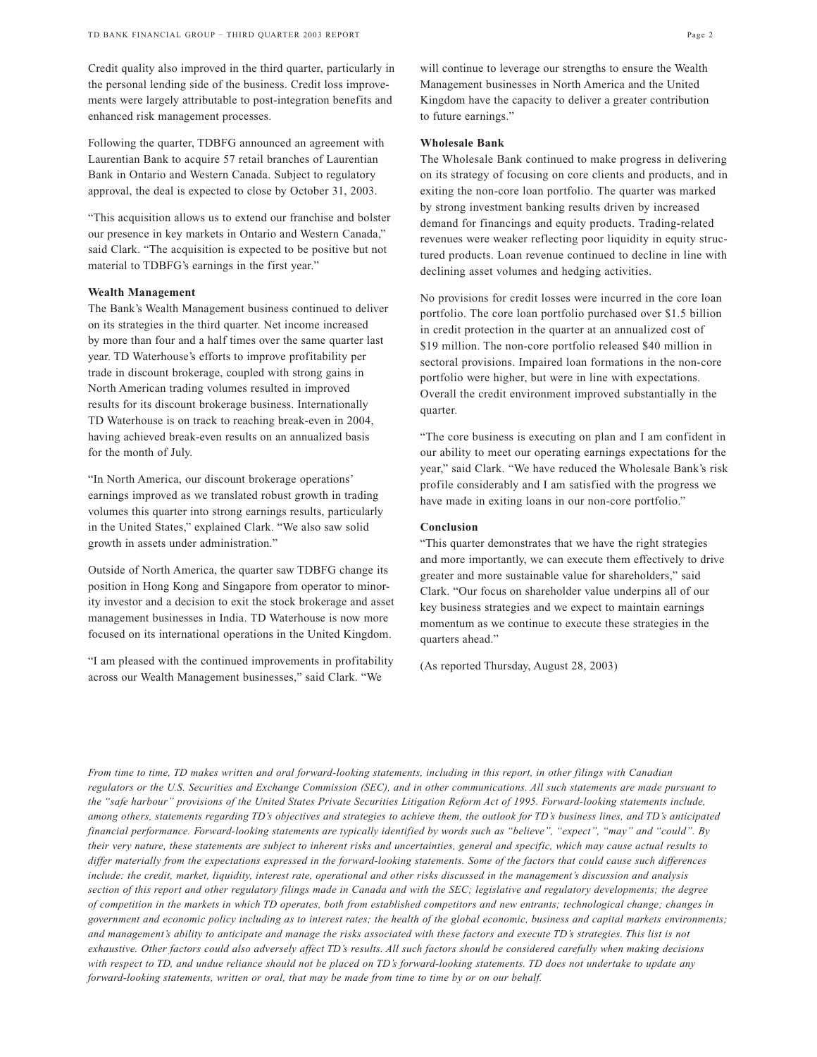Credit quality also improved in the third quarter, particularly in the personal lending side of the business. Credit loss improvements were largely attributable to post-integration benefits and enhanced risk management processes.

Following the quarter, TDBFG announced an agreement with Laurentian Bank to acquire 57 retail branches of Laurentian Bank in Ontario and Western Canada. Subject to regulatory approval, the deal is expected to close by October 31, 2003.

"This acquisition allows us to extend our franchise and bolster our presence in key markets in Ontario and Western Canada," said Clark. "The acquisition is expected to be positive but not material to TDBFG's earnings in the first year."

## **Wealth Management**

The Bank's Wealth Management business continued to deliver on its strategies in the third quarter. Net income increased by more than four and a half times over the same quarter last year. TD Waterhouse's efforts to improve profitability per trade in discount brokerage, coupled with strong gains in North American trading volumes resulted in improved results for its discount brokerage business. Internationally TD Waterhouse is on track to reaching break-even in 2004, having achieved break-even results on an annualized basis for the month of July.

"In North America, our discount brokerage operations' earnings improved as we translated robust growth in trading volumes this quarter into strong earnings results, particularly in the United States," explained Clark. "We also saw solid growth in assets under administration."

Outside of North America, the quarter saw TDBFG change its position in Hong Kong and Singapore from operator to minority investor and a decision to exit the stock brokerage and asset management businesses in India. TD Waterhouse is now more focused on its international operations in the United Kingdom.

"I am pleased with the continued improvements in profitability across our Wealth Management businesses," said Clark. "We

will continue to leverage our strengths to ensure the Wealth Management businesses in North America and the United Kingdom have the capacity to deliver a greater contribution to future earnings."

### **Wholesale Bank**

The Wholesale Bank continued to make progress in delivering on its strategy of focusing on core clients and products, and in exiting the non-core loan portfolio. The quarter was marked by strong investment banking results driven by increased demand for financings and equity products. Trading-related revenues were weaker reflecting poor liquidity in equity structured products. Loan revenue continued to decline in line with declining asset volumes and hedging activities.

No provisions for credit losses were incurred in the core loan portfolio. The core loan portfolio purchased over \$1.5 billion in credit protection in the quarter at an annualized cost of \$19 million. The non-core portfolio released \$40 million in sectoral provisions. Impaired loan formations in the non-core portfolio were higher, but were in line with expectations. Overall the credit environment improved substantially in the quarter.

"The core business is executing on plan and I am confident in our ability to meet our operating earnings expectations for the year," said Clark. "We have reduced the Wholesale Bank's risk profile considerably and I am satisfied with the progress we have made in exiting loans in our non-core portfolio."

## **Conclusion**

"This quarter demonstrates that we have the right strategies and more importantly, we can execute them effectively to drive greater and more sustainable value for shareholders," said Clark. "Our focus on shareholder value underpins all of our key business strategies and we expect to maintain earnings momentum as we continue to execute these strategies in the quarters ahead."

(As reported Thursday, August 28, 2003)

*From time to time, TD makes written and oral forward-looking statements, including in this report, in other filings with Canadian regulators or the U.S. Securities and Exchange Commission (SEC), and in other communications. All such statements are made pursuant to the "safe harbour" provisions of the United States Private Securities Litigation Reform Act of 1995. Forward-looking statements include, among others, statements regarding TD's objectives and strategies to achieve them, the outlook for TD's business lines, and TD's anticipated financial performance. Forward-looking statements are typically identified by words such as "believe", "expect", "may" and "could". By their very nature, these statements are subject to inherent risks and uncertainties, general and specific, which may cause actual results to differ materially from the expectations expressed in the forward-looking statements. Some of the factors that could cause such differences include: the credit, market, liquidity, interest rate, operational and other risks discussed in the management's discussion and analysis section of this report and other regulatory filings made in Canada and with the SEC; legislative and regulatory developments; the degree of competition in the markets in which TD operates, both from established competitors and new entrants; technological change; changes in government and economic policy including as to interest rates; the health of the global economic, business and capital markets environments; and management's ability to anticipate and manage the risks associated with these factors and execute TD's strategies. This list is not exhaustive. Other factors could also adversely affect TD's results. All such factors should be considered carefully when making decisions*  with respect to TD, and undue reliance should not be placed on TD's forward-looking statements. TD does not undertake to update any *forward-looking statements, written or oral, that may be made from time to time by or on our behalf.*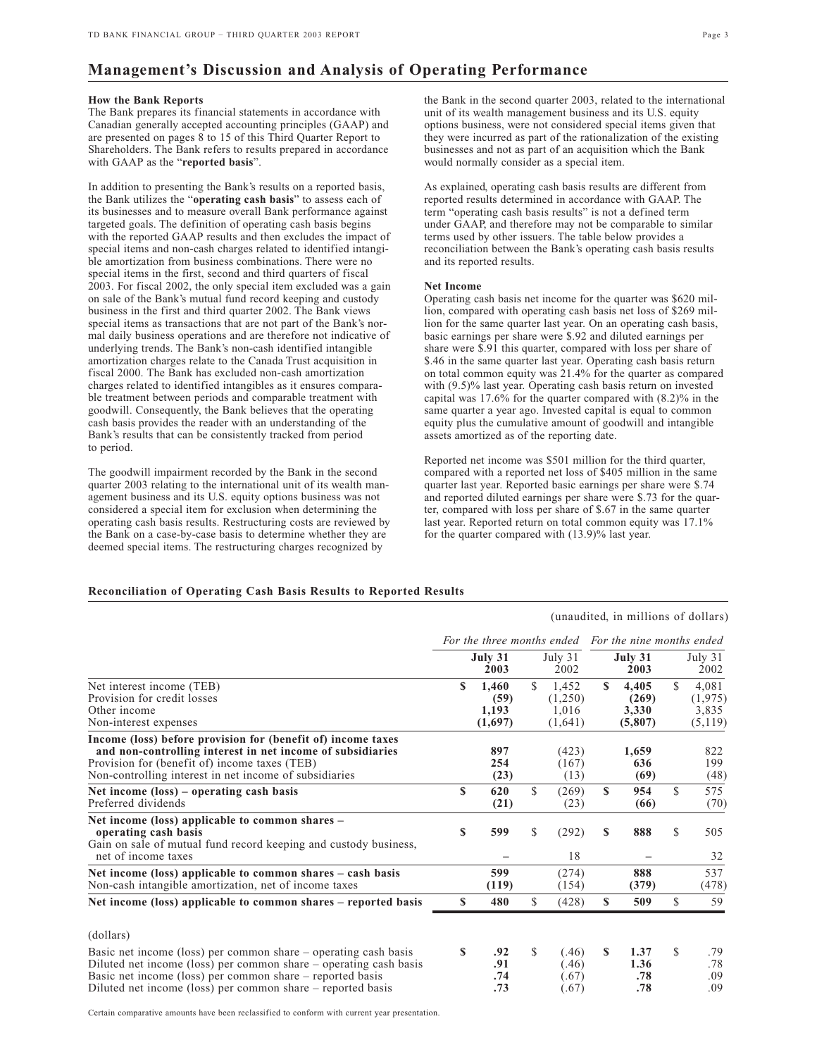# **Management's Discussion and Analysis of Operating Performance**

### **How the Bank Reports**

The Bank prepares its financial statements in accordance with Canadian generally accepted accounting principles (GAAP) and are presented on pages 8 to 15 of this Third Quarter Report to Shareholders. The Bank refers to results prepared in accordance with GAAP as the "**reported basis**".

In addition to presenting the Bank's results on a reported basis, the Bank utilizes the "**operating cash basis**" to assess each of its businesses and to measure overall Bank performance against targeted goals. The definition of operating cash basis begins with the reported GAAP results and then excludes the impact of special items and non-cash charges related to identified intangible amortization from business combinations. There were no special items in the first, second and third quarters of fiscal 2003. For fiscal 2002, the only special item excluded was a gain on sale of the Bank's mutual fund record keeping and custody business in the first and third quarter 2002. The Bank views special items as transactions that are not part of the Bank's normal daily business operations and are therefore not indicative of underlying trends. The Bank's non-cash identified intangible amortization charges relate to the Canada Trust acquisition in fiscal 2000. The Bank has excluded non-cash amortization charges related to identified intangibles as it ensures comparable treatment between periods and comparable treatment with goodwill. Consequently, the Bank believes that the operating cash basis provides the reader with an understanding of the Bank's results that can be consistently tracked from period to period.

The goodwill impairment recorded by the Bank in the second quarter 2003 relating to the international unit of its wealth management business and its U.S. equity options business was not considered a special item for exclusion when determining the operating cash basis results. Restructuring costs are reviewed by the Bank on a case-by-case basis to determine whether they are deemed special items. The restructuring charges recognized by

the Bank in the second quarter 2003, related to the international unit of its wealth management business and its U.S. equity options business, were not considered special items given that they were incurred as part of the rationalization of the existing businesses and not as part of an acquisition which the Bank would normally consider as a special item.

As explained, operating cash basis results are different from reported results determined in accordance with GAAP. The term "operating cash basis results" is not a defined term under GAAP, and therefore may not be comparable to similar terms used by other issuers. The table below provides a reconciliation between the Bank's operating cash basis results and its reported results.

### **Net Income**

Operating cash basis net income for the quarter was \$620 million, compared with operating cash basis net loss of \$269 million for the same quarter last year. On an operating cash basis, basic earnings per share were \$.92 and diluted earnings per share were \$.91 this quarter, compared with loss per share of \$.46 in the same quarter last year. Operating cash basis return on total common equity was 21.4% for the quarter as compared with (9.5)% last year. Operating cash basis return on invested capital was 17.6% for the quarter compared with (8.2)% in the same quarter a year ago. Invested capital is equal to common equity plus the cumulative amount of goodwill and intangible assets amortized as of the reporting date.

Reported net income was \$501 million for the third quarter, compared with a reported net loss of \$405 million in the same quarter last year. Reported basic earnings per share were \$.74 and reported diluted earnings per share were \$.73 for the quarter, compared with loss per share of \$.67 in the same quarter last year. Reported return on total common equity was 17.1% for the quarter compared with (13.9)% last year.

## **Reconciliation of Operating Cash Basis Results to Reported Results**

(unaudited, in millions of dollars)

|                                                                                                                                                                                                                                                                  |    | For the three months ended        |              |                                      | For the nine months ended |                                    |               |                                      |  |  |
|------------------------------------------------------------------------------------------------------------------------------------------------------------------------------------------------------------------------------------------------------------------|----|-----------------------------------|--------------|--------------------------------------|---------------------------|------------------------------------|---------------|--------------------------------------|--|--|
|                                                                                                                                                                                                                                                                  |    | July 31<br>2003                   |              | July 31<br>2002                      |                           | July 31<br>2003                    |               | July $31$<br>2002                    |  |  |
| Net interest income (TEB)<br>Provision for credit losses<br>Other income<br>Non-interest expenses                                                                                                                                                                | \$ | 1.460<br>(59)<br>1,193<br>(1,697) | \$           | 1,452<br>(1,250)<br>1,016<br>(1,641) | S                         | 4,405<br>(269)<br>3,330<br>(5,807) | $\mathcal{S}$ | 4,081<br>(1,975)<br>3,835<br>(5,119) |  |  |
| Income (loss) before provision for (benefit of) income taxes<br>and non-controlling interest in net income of subsidiaries<br>Provision for (benefit of) income taxes (TEB)<br>Non-controlling interest in net income of subsidiaries                            |    | 897<br>254<br>(23)                |              | (423)<br>(167)<br>(13)               |                           | 1,659<br>636<br>(69)               |               | 822<br>199<br>(48)                   |  |  |
| Net income $(\text{loss})$ – operating cash basis<br>Preferred dividends                                                                                                                                                                                         | \$ | 620<br>(21)                       | S.           | (269)<br>(23)                        | <b>S</b>                  | 954<br>(66)                        | \$.           | 575<br>(70)                          |  |  |
| Net income (loss) applicable to common shares –<br>operating cash basis<br>Gain on sale of mutual fund record keeping and custody business,<br>net of income taxes                                                                                               | \$ | 599                               | \$           | (292)<br>18                          | S                         | 888                                | S             | 505<br>32                            |  |  |
| Net income (loss) applicable to common shares – cash basis<br>Non-cash intangible amortization, net of income taxes                                                                                                                                              |    | 599<br>(119)                      |              | (274)<br>(154)                       |                           | 888<br>(379)                       |               | 537<br>(478)                         |  |  |
| Net income (loss) applicable to common shares – reported basis                                                                                                                                                                                                   | \$ | 480                               | $\mathbb{S}$ | (428)                                | S                         | 509                                | \$            | 59                                   |  |  |
| (dollars)                                                                                                                                                                                                                                                        |    |                                   |              |                                      |                           |                                    |               |                                      |  |  |
| Basic net income (loss) per common share – operating cash basis<br>Diluted net income (loss) per common share – operating cash basis<br>Basic net income (loss) per common share – reported basis<br>Diluted net income (loss) per common share – reported basis | S  | .92<br>.91<br>.74<br>.73          | $\mathbb{S}$ | (.46)<br>(.46)<br>(0.67)<br>(.67)    | $\mathbf{s}$              | 1.37<br>1.36<br>.78<br>.78         | \$.           | .79<br>.78<br>.09<br>.09             |  |  |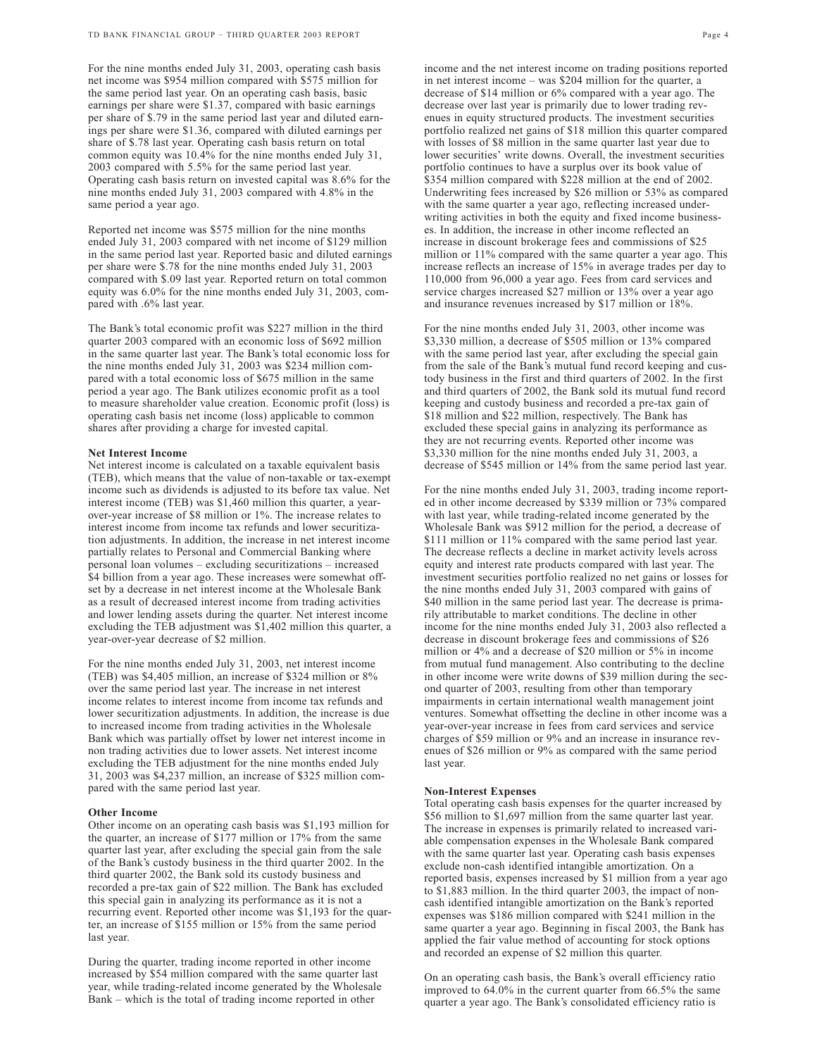For the nine months ended July 31, 2003, operating cash basis net income was \$954 million compared with \$575 million for the same period last year. On an operating cash basis, basic earnings per share were \$1.37, compared with basic earnings per share of \$.79 in the same period last year and diluted earnings per share were \$1.36, compared with diluted earnings per share of \$.78 last year. Operating cash basis return on total common equity was 10.4% for the nine months ended July 31, 2003 compared with 5.5% for the same period last year. Operating cash basis return on invested capital was 8.6% for the nine months ended July 31, 2003 compared with 4.8% in the same period a year ago.

Reported net income was \$575 million for the nine months ended July 31, 2003 compared with net income of \$129 million in the same period last year. Reported basic and diluted earnings per share were \$.78 for the nine months ended July 31, 2003 compared with \$.09 last year. Reported return on total common equity was 6.0% for the nine months ended July 31, 2003, compared with .6% last year.

The Bank's total economic profit was \$227 million in the third quarter 2003 compared with an economic loss of \$692 million in the same quarter last year. The Bank's total economic loss for the nine months ended July 31, 2003 was \$234 million compared with a total economic loss of \$675 million in the same period a year ago. The Bank utilizes economic profit as a tool to measure shareholder value creation. Economic profit (loss) is operating cash basis net income (loss) applicable to common shares after providing a charge for invested capital.

#### **Net Interest Income**

Net interest income is calculated on a taxable equivalent basis (TEB), which means that the value of non-taxable or tax-exempt income such as dividends is adjusted to its before tax value. Net interest income (TEB) was \$1,460 million this quarter, a yearover-year increase of \$8 million or 1%. The increase relates to interest income from income tax refunds and lower securitization adjustments. In addition, the increase in net interest income partially relates to Personal and Commercial Banking where personal loan volumes – excluding securitizations – increased \$4 billion from a year ago. These increases were somewhat offset by a decrease in net interest income at the Wholesale Bank as a result of decreased interest income from trading activities and lower lending assets during the quarter. Net interest income excluding the TEB adjustment was \$1,402 million this quarter, a year-over-year decrease of \$2 million.

For the nine months ended July 31, 2003, net interest income (TEB) was \$4,405 million, an increase of \$324 million or 8% over the same period last year. The increase in net interest income relates to interest income from income tax refunds and lower securitization adjustments. In addition, the increase is due to increased income from trading activities in the Wholesale Bank which was partially offset by lower net interest income in non trading activities due to lower assets. Net interest income excluding the TEB adjustment for the nine months ended July 31, 2003 was \$4,237 million, an increase of \$325 million compared with the same period last year.

### **Other Income**

Other income on an operating cash basis was \$1,193 million for the quarter, an increase of \$177 million or 17% from the same quarter last year, after excluding the special gain from the sale of the Bank's custody business in the third quarter 2002. In the third quarter 2002, the Bank sold its custody business and recorded a pre-tax gain of \$22 million. The Bank has excluded this special gain in analyzing its performance as it is not a recurring event. Reported other income was \$1,193 for the quarter, an increase of \$155 million or 15% from the same period last year.

During the quarter, trading income reported in other income increased by \$54 million compared with the same quarter last year, while trading-related income generated by the Wholesale Bank – which is the total of trading income reported in other

income and the net interest income on trading positions reported in net interest income – was \$204 million for the quarter, a decrease of \$14 million or 6% compared with a year ago. The decrease over last year is primarily due to lower trading revenues in equity structured products. The investment securities portfolio realized net gains of \$18 million this quarter compared with losses of \$8 million in the same quarter last year due to lower securities' write downs. Overall, the investment securities portfolio continues to have a surplus over its book value of \$354 million compared with \$228 million at the end of 2002. Underwriting fees increased by \$26 million or 53% as compared with the same quarter a year ago, reflecting increased underwriting activities in both the equity and fixed income businesses. In addition, the increase in other income reflected an increase in discount brokerage fees and commissions of \$25 million or 11% compared with the same quarter a year ago. This increase reflects an increase of 15% in average trades per day to 110,000 from 96,000 a year ago. Fees from card services and service charges increased \$27 million or 13% over a year ago and insurance revenues increased by \$17 million or 18%.

For the nine months ended July 31, 2003, other income was \$3,330 million, a decrease of \$505 million or 13% compared with the same period last year, after excluding the special gain from the sale of the Bank's mutual fund record keeping and custody business in the first and third quarters of 2002. In the first and third quarters of 2002, the Bank sold its mutual fund record keeping and custody business and recorded a pre-tax gain of \$18 million and \$22 million, respectively. The Bank has excluded these special gains in analyzing its performance as they are not recurring events. Reported other income was \$3,330 million for the nine months ended July 31, 2003, a decrease of \$545 million or 14% from the same period last year.

For the nine months ended July 31, 2003, trading income reported in other income decreased by \$339 million or 73% compared with last year, while trading-related income generated by the Wholesale Bank was \$912 million for the period, a decrease of \$111 million or 11% compared with the same period last year. The decrease reflects a decline in market activity levels across equity and interest rate products compared with last year. The investment securities portfolio realized no net gains or losses for the nine months ended July 31, 2003 compared with gains of \$40 million in the same period last year. The decrease is primarily attributable to market conditions. The decline in other income for the nine months ended July 31, 2003 also reflected a decrease in discount brokerage fees and commissions of \$26 million or 4% and a decrease of \$20 million or 5% in income from mutual fund management. Also contributing to the decline in other income were write downs of \$39 million during the second quarter of 2003, resulting from other than temporary impairments in certain international wealth management joint ventures. Somewhat offsetting the decline in other income was a year-over-year increase in fees from card services and service charges of \$59 million or 9% and an increase in insurance revenues of \$26 million or 9% as compared with the same period last year.

## **Non-Interest Expenses**

Total operating cash basis expenses for the quarter increased by \$56 million to \$1,697 million from the same quarter last year. The increase in expenses is primarily related to increased variable compensation expenses in the Wholesale Bank compared with the same quarter last year. Operating cash basis expenses exclude non-cash identified intangible amortization. On a reported basis, expenses increased by \$1 million from a year ago to \$1,883 million. In the third quarter 2003, the impact of noncash identified intangible amortization on the Bank's reported expenses was \$186 million compared with \$241 million in the same quarter a year ago. Beginning in fiscal 2003, the Bank has applied the fair value method of accounting for stock options and recorded an expense of \$2 million this quarter.

On an operating cash basis, the Bank's overall efficiency ratio improved to 64.0% in the current quarter from 66.5% the same quarter a year ago. The Bank's consolidated efficiency ratio is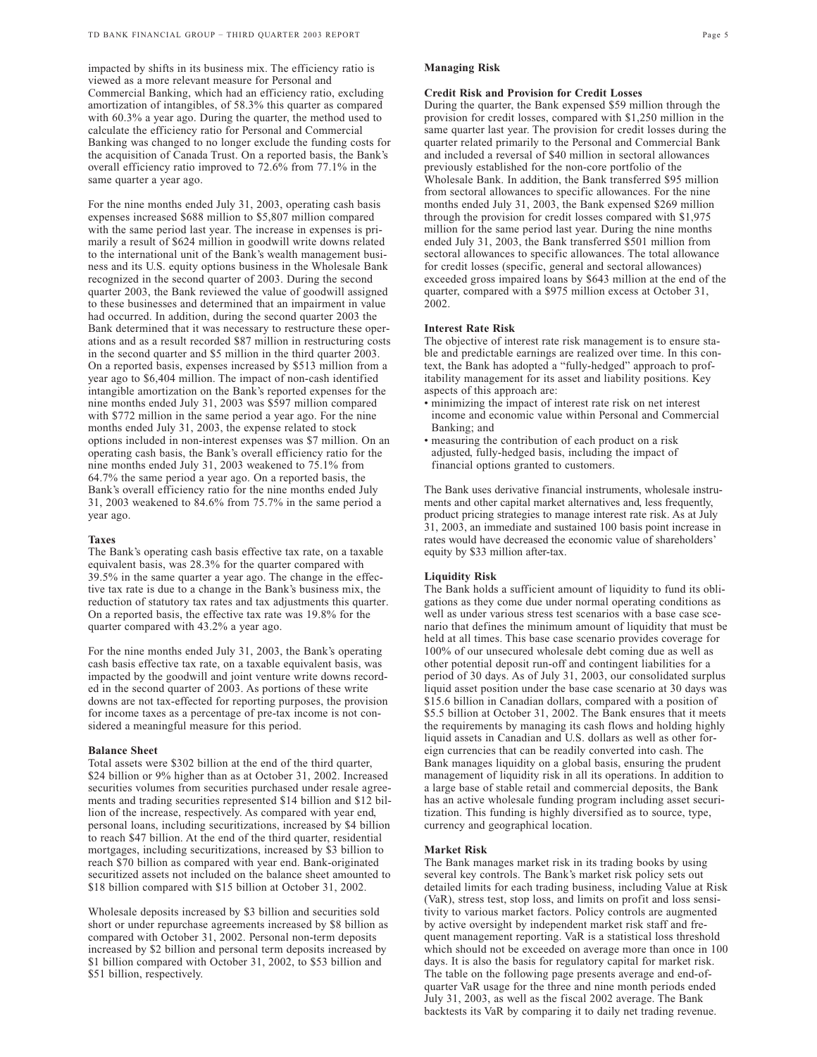impacted by shifts in its business mix. The efficiency ratio is viewed as a more relevant measure for Personal and Commercial Banking, which had an efficiency ratio, excluding amortization of intangibles, of 58.3% this quarter as compared with 60.3% a year ago. During the quarter, the method used to calculate the efficiency ratio for Personal and Commercial Banking was changed to no longer exclude the funding costs for the acquisition of Canada Trust. On a reported basis, the Bank's overall efficiency ratio improved to 72.6% from 77.1% in the same quarter a year ago.

For the nine months ended July 31, 2003, operating cash basis expenses increased \$688 million to \$5,807 million compared with the same period last year. The increase in expenses is primarily a result of \$624 million in goodwill write downs related to the international unit of the Bank's wealth management business and its U.S. equity options business in the Wholesale Bank recognized in the second quarter of 2003. During the second quarter 2003, the Bank reviewed the value of goodwill assigned to these businesses and determined that an impairment in value had occurred. In addition, during the second quarter 2003 the Bank determined that it was necessary to restructure these operations and as a result recorded \$87 million in restructuring costs in the second quarter and \$5 million in the third quarter 2003. On a reported basis, expenses increased by \$513 million from a year ago to \$6,404 million. The impact of non-cash identified intangible amortization on the Bank's reported expenses for the nine months ended July 31, 2003 was \$597 million compared with \$772 million in the same period a year ago. For the nine months ended July 31, 2003, the expense related to stock options included in non-interest expenses was \$7 million. On an operating cash basis, the Bank's overall efficiency ratio for the nine months ended July 31, 2003 weakened to 75.1% from 64.7% the same period a year ago. On a reported basis, the Bank's overall efficiency ratio for the nine months ended July 31, 2003 weakened to 84.6% from 75.7% in the same period a year ago.

### **Taxes**

The Bank's operating cash basis effective tax rate, on a taxable equivalent basis, was 28.3% for the quarter compared with 39.5% in the same quarter a year ago. The change in the effective tax rate is due to a change in the Bank's business mix, the reduction of statutory tax rates and tax adjustments this quarter. On a reported basis, the effective tax rate was 19.8% for the quarter compared with 43.2% a year ago.

For the nine months ended July 31, 2003, the Bank's operating cash basis effective tax rate, on a taxable equivalent basis, was impacted by the goodwill and joint venture write downs recorded in the second quarter of 2003. As portions of these write downs are not tax-effected for reporting purposes, the provision for income taxes as a percentage of pre-tax income is not considered a meaningful measure for this period.

### **Balance Sheet**

Total assets were \$302 billion at the end of the third quarter, \$24 billion or 9% higher than as at October 31, 2002. Increased securities volumes from securities purchased under resale agreements and trading securities represented \$14 billion and \$12 billion of the increase, respectively. As compared with year end, personal loans, including securitizations, increased by \$4 billion to reach \$47 billion. At the end of the third quarter, residential mortgages, including securitizations, increased by \$3 billion to reach \$70 billion as compared with year end. Bank-originated securitized assets not included on the balance sheet amounted to \$18 billion compared with \$15 billion at October 31, 2002.

Wholesale deposits increased by \$3 billion and securities sold short or under repurchase agreements increased by \$8 billion as compared with October 31, 2002. Personal non-term deposits increased by \$2 billion and personal term deposits increased by \$1 billion compared with October 31, 2002, to \$53 billion and \$51 billion, respectively.

## **Managing Risk**

## **Credit Risk and Provision for Credit Losses**

During the quarter, the Bank expensed \$59 million through the provision for credit losses, compared with \$1,250 million in the same quarter last year. The provision for credit losses during the quarter related primarily to the Personal and Commercial Bank and included a reversal of \$40 million in sectoral allowances previously established for the non-core portfolio of the Wholesale Bank. In addition, the Bank transferred \$95 million from sectoral allowances to specific allowances. For the nine months ended July 31, 2003, the Bank expensed \$269 million through the provision for credit losses compared with \$1,975 million for the same period last year. During the nine months ended July 31, 2003, the Bank transferred \$501 million from sectoral allowances to specific allowances. The total allowance for credit losses (specific, general and sectoral allowances) exceeded gross impaired loans by \$643 million at the end of the quarter, compared with a \$975 million excess at October 31, 2002.

## **Interest Rate Risk**

The objective of interest rate risk management is to ensure stable and predictable earnings are realized over time. In this context, the Bank has adopted a "fully-hedged" approach to profitability management for its asset and liability positions. Key aspects of this approach are:

- minimizing the impact of interest rate risk on net interest income and economic value within Personal and Commercial Banking; and
- measuring the contribution of each product on a risk adjusted, fully-hedged basis, including the impact of financial options granted to customers.

The Bank uses derivative financial instruments, wholesale instruments and other capital market alternatives and, less frequently, product pricing strategies to manage interest rate risk. As at July 31, 2003, an immediate and sustained 100 basis point increase in rates would have decreased the economic value of shareholders' equity by \$33 million after-tax.

### **Liquidity Risk**

The Bank holds a sufficient amount of liquidity to fund its obligations as they come due under normal operating conditions as well as under various stress test scenarios with a base case scenario that defines the minimum amount of liquidity that must be held at all times. This base case scenario provides coverage for 100% of our unsecured wholesale debt coming due as well as other potential deposit run-off and contingent liabilities for a period of 30 days. As of July 31, 2003, our consolidated surplus liquid asset position under the base case scenario at 30 days was \$15.6 billion in Canadian dollars, compared with a position of \$5.5 billion at October 31, 2002. The Bank ensures that it meets the requirements by managing its cash flows and holding highly liquid assets in Canadian and U.S. dollars as well as other foreign currencies that can be readily converted into cash. The Bank manages liquidity on a global basis, ensuring the prudent management of liquidity risk in all its operations. In addition to a large base of stable retail and commercial deposits, the Bank has an active wholesale funding program including asset securitization. This funding is highly diversified as to source, type, currency and geographical location.

### **Market Risk**

The Bank manages market risk in its trading books by using several key controls. The Bank's market risk policy sets out detailed limits for each trading business, including Value at Risk (VaR), stress test, stop loss, and limits on profit and loss sensitivity to various market factors. Policy controls are augmented by active oversight by independent market risk staff and frequent management reporting. VaR is a statistical loss threshold which should not be exceeded on average more than once in 100 days. It is also the basis for regulatory capital for market risk. The table on the following page presents average and end-ofquarter VaR usage for the three and nine month periods ended July 31, 2003, as well as the fiscal 2002 average. The Bank backtests its VaR by comparing it to daily net trading revenue.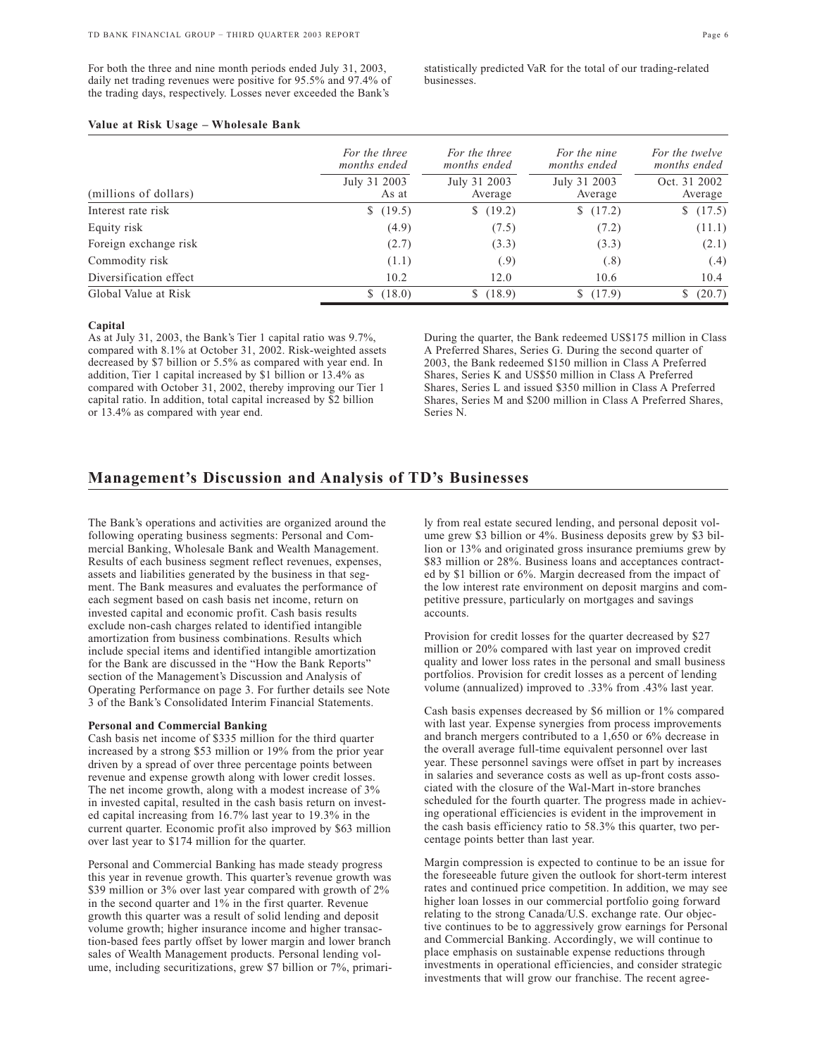For both the three and nine month periods ended July 31, 2003, daily net trading revenues were positive for 95.5% and 97.4% of the trading days, respectively. Losses never exceeded the Bank's

statistically predicted VaR for the total of our trading-related businesses.

## **Value at Risk Usage – Wholesale Bank**

|                        | For the three<br>months ended | For the three<br>months ended | For the nine<br>months ended | For the twelve<br>months ended |
|------------------------|-------------------------------|-------------------------------|------------------------------|--------------------------------|
| (millions of dollars)  | July 31 2003<br>As at         | July 31 2003<br>Average       | July 31 2003<br>Average      | Oct. 31 2002<br>Average        |
| Interest rate risk     | \$(19.5)                      | \$(19.2)                      | \$(17.2)                     | (17.5)                         |
| Equity risk            | (4.9)                         | (7.5)                         | (7.2)                        | (11.1)                         |
| Foreign exchange risk  | (2.7)                         | (3.3)                         | (3.3)                        | (2.1)                          |
| Commodity risk         | (1.1)                         | (.9)                          | (.8)                         | (.4)                           |
| Diversification effect | 10.2                          | 12.0                          | 10.6                         | 10.4                           |
| Global Value at Risk   | (18.0)<br>S.                  | (18.9)<br>S.                  | (17.9)<br>S.                 | (20.7)                         |

### **Capital**

As at July 31, 2003, the Bank's Tier 1 capital ratio was 9.7%, compared with 8.1% at October 31, 2002. Risk-weighted assets decreased by \$7 billion or 5.5% as compared with year end. In addition, Tier 1 capital increased by \$1 billion or 13.4% as compared with October 31, 2002, thereby improving our Tier 1 capital ratio. In addition, total capital increased by \$2 billion or 13.4% as compared with year end.

During the quarter, the Bank redeemed US\$175 million in Class A Preferred Shares, Series G. During the second quarter of 2003, the Bank redeemed \$150 million in Class A Preferred Shares, Series K and US\$50 million in Class A Preferred Shares, Series L and issued \$350 million in Class A Preferred Shares, Series M and \$200 million in Class A Preferred Shares, Series N.

## **Management's Discussion and Analysis of TD's Businesses**

The Bank's operations and activities are organized around the following operating business segments: Personal and Commercial Banking, Wholesale Bank and Wealth Management. Results of each business segment reflect revenues, expenses, assets and liabilities generated by the business in that segment. The Bank measures and evaluates the performance of each segment based on cash basis net income, return on invested capital and economic profit. Cash basis results exclude non-cash charges related to identified intangible amortization from business combinations. Results which include special items and identified intangible amortization for the Bank are discussed in the "How the Bank Reports" section of the Management's Discussion and Analysis of Operating Performance on page 3. For further details see Note 3 of the Bank's Consolidated Interim Financial Statements.

### **Personal and Commercial Banking**

Cash basis net income of \$335 million for the third quarter increased by a strong \$53 million or 19% from the prior year driven by a spread of over three percentage points between revenue and expense growth along with lower credit losses. The net income growth, along with a modest increase of 3% in invested capital, resulted in the cash basis return on invested capital increasing from 16.7% last year to 19.3% in the current quarter. Economic profit also improved by \$63 million over last year to \$174 million for the quarter.

Personal and Commercial Banking has made steady progress this year in revenue growth. This quarter's revenue growth was \$39 million or 3% over last year compared with growth of 2% in the second quarter and 1% in the first quarter. Revenue growth this quarter was a result of solid lending and deposit volume growth; higher insurance income and higher transaction-based fees partly offset by lower margin and lower branch sales of Wealth Management products. Personal lending volume, including securitizations, grew \$7 billion or 7%, primari-

ly from real estate secured lending, and personal deposit volume grew \$3 billion or 4%. Business deposits grew by \$3 billion or 13% and originated gross insurance premiums grew by \$83 million or 28%. Business loans and acceptances contracted by \$1 billion or 6%. Margin decreased from the impact of the low interest rate environment on deposit margins and competitive pressure, particularly on mortgages and savings accounts.

Provision for credit losses for the quarter decreased by \$27 million or 20% compared with last year on improved credit quality and lower loss rates in the personal and small business portfolios. Provision for credit losses as a percent of lending volume (annualized) improved to .33% from .43% last year.

Cash basis expenses decreased by \$6 million or 1% compared with last year. Expense synergies from process improvements and branch mergers contributed to a 1,650 or 6% decrease in the overall average full-time equivalent personnel over last year. These personnel savings were offset in part by increases in salaries and severance costs as well as up-front costs associated with the closure of the Wal-Mart in-store branches scheduled for the fourth quarter. The progress made in achieving operational efficiencies is evident in the improvement in the cash basis efficiency ratio to 58.3% this quarter, two percentage points better than last year.

Margin compression is expected to continue to be an issue for the foreseeable future given the outlook for short-term interest rates and continued price competition. In addition, we may see higher loan losses in our commercial portfolio going forward relating to the strong Canada/U.S. exchange rate. Our objective continues to be to aggressively grow earnings for Personal and Commercial Banking. Accordingly, we will continue to place emphasis on sustainable expense reductions through investments in operational efficiencies, and consider strategic investments that will grow our franchise. The recent agree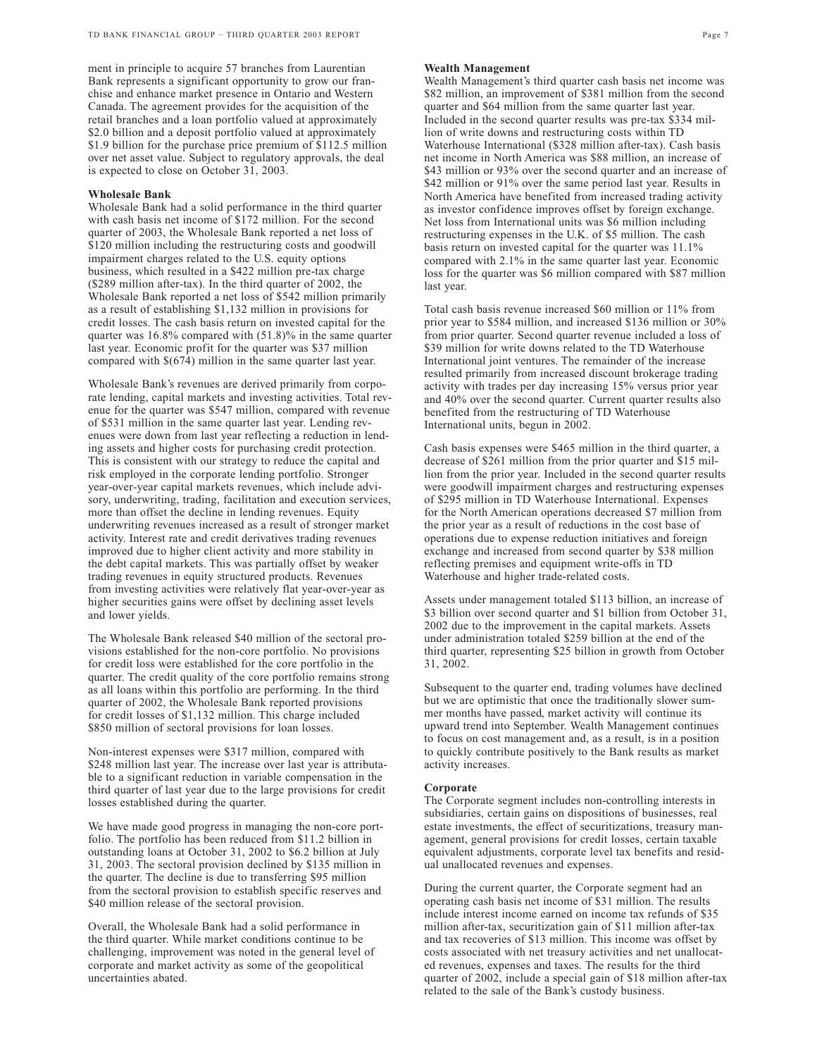ment in principle to acquire 57 branches from Laurentian Bank represents a significant opportunity to grow our franchise and enhance market presence in Ontario and Western Canada. The agreement provides for the acquisition of the retail branches and a loan portfolio valued at approximately \$2.0 billion and a deposit portfolio valued at approximately \$1.9 billion for the purchase price premium of \$112.5 million over net asset value. Subject to regulatory approvals, the deal is expected to close on October 31, 2003.

## **Wholesale Bank**

Wholesale Bank had a solid performance in the third quarter with cash basis net income of \$172 million. For the second quarter of 2003, the Wholesale Bank reported a net loss of \$120 million including the restructuring costs and goodwill impairment charges related to the U.S. equity options business, which resulted in a \$422 million pre-tax charge (\$289 million after-tax). In the third quarter of 2002, the Wholesale Bank reported a net loss of \$542 million primarily as a result of establishing \$1,132 million in provisions for credit losses. The cash basis return on invested capital for the quarter was 16.8% compared with (51.8)% in the same quarter last year. Economic profit for the quarter was \$37 million compared with \$(674) million in the same quarter last year.

Wholesale Bank's revenues are derived primarily from corporate lending, capital markets and investing activities. Total revenue for the quarter was \$547 million, compared with revenue of \$531 million in the same quarter last year. Lending revenues were down from last year reflecting a reduction in lending assets and higher costs for purchasing credit protection. This is consistent with our strategy to reduce the capital and risk employed in the corporate lending portfolio. Stronger year-over-year capital markets revenues, which include advisory, underwriting, trading, facilitation and execution services, more than offset the decline in lending revenues. Equity underwriting revenues increased as a result of stronger market activity. Interest rate and credit derivatives trading revenues improved due to higher client activity and more stability in the debt capital markets. This was partially offset by weaker trading revenues in equity structured products. Revenues from investing activities were relatively flat year-over-year as higher securities gains were offset by declining asset levels and lower yields.

The Wholesale Bank released \$40 million of the sectoral provisions established for the non-core portfolio. No provisions for credit loss were established for the core portfolio in the quarter. The credit quality of the core portfolio remains strong as all loans within this portfolio are performing. In the third quarter of 2002, the Wholesale Bank reported provisions for credit losses of \$1,132 million. This charge included \$850 million of sectoral provisions for loan losses.

Non-interest expenses were \$317 million, compared with \$248 million last year. The increase over last year is attributable to a significant reduction in variable compensation in the third quarter of last year due to the large provisions for credit losses established during the quarter.

We have made good progress in managing the non-core portfolio. The portfolio has been reduced from \$11.2 billion in outstanding loans at October 31, 2002 to \$6.2 billion at July 31, 2003. The sectoral provision declined by \$135 million in the quarter. The decline is due to transferring \$95 million from the sectoral provision to establish specific reserves and \$40 million release of the sectoral provision.

Overall, the Wholesale Bank had a solid performance in the third quarter. While market conditions continue to be challenging, improvement was noted in the general level of corporate and market activity as some of the geopolitical uncertainties abated.

## **Wealth Management**

Wealth Management's third quarter cash basis net income was \$82 million, an improvement of \$381 million from the second quarter and \$64 million from the same quarter last year. Included in the second quarter results was pre-tax \$334 million of write downs and restructuring costs within TD Waterhouse International (\$328 million after-tax). Cash basis net income in North America was \$88 million, an increase of \$43 million or 93% over the second quarter and an increase of \$42 million or 91% over the same period last year. Results in North America have benefited from increased trading activity as investor confidence improves offset by foreign exchange. Net loss from International units was \$6 million including restructuring expenses in the U.K. of \$5 million. The cash basis return on invested capital for the quarter was 11.1% compared with 2.1% in the same quarter last year. Economic loss for the quarter was \$6 million compared with \$87 million last year.

Total cash basis revenue increased \$60 million or 11% from prior year to \$584 million, and increased \$136 million or 30% from prior quarter. Second quarter revenue included a loss of \$39 million for write downs related to the TD Waterhouse International joint ventures. The remainder of the increase resulted primarily from increased discount brokerage trading activity with trades per day increasing 15% versus prior year and 40% over the second quarter. Current quarter results also benefited from the restructuring of TD Waterhouse International units, begun in 2002.

Cash basis expenses were \$465 million in the third quarter, a decrease of \$261 million from the prior quarter and \$15 million from the prior year. Included in the second quarter results were goodwill impairment charges and restructuring expenses of \$295 million in TD Waterhouse International. Expenses for the North American operations decreased \$7 million from the prior year as a result of reductions in the cost base of operations due to expense reduction initiatives and foreign exchange and increased from second quarter by \$38 million reflecting premises and equipment write-offs in TD Waterhouse and higher trade-related costs.

Assets under management totaled \$113 billion, an increase of \$3 billion over second quarter and \$1 billion from October 31, 2002 due to the improvement in the capital markets. Assets under administration totaled \$259 billion at the end of the third quarter, representing \$25 billion in growth from October 31, 2002.

Subsequent to the quarter end, trading volumes have declined but we are optimistic that once the traditionally slower summer months have passed, market activity will continue its upward trend into September. Wealth Management continues to focus on cost management and, as a result, is in a position to quickly contribute positively to the Bank results as market activity increases.

## **Corporate**

The Corporate segment includes non-controlling interests in subsidiaries, certain gains on dispositions of businesses, real estate investments, the effect of securitizations, treasury management, general provisions for credit losses, certain taxable equivalent adjustments, corporate level tax benefits and residual unallocated revenues and expenses.

During the current quarter, the Corporate segment had an operating cash basis net income of \$31 million. The results include interest income earned on income tax refunds of \$35 million after-tax, securitization gain of \$11 million after-tax and tax recoveries of \$13 million. This income was offset by costs associated with net treasury activities and net unallocated revenues, expenses and taxes. The results for the third quarter of 2002, include a special gain of \$18 million after-tax related to the sale of the Bank's custody business.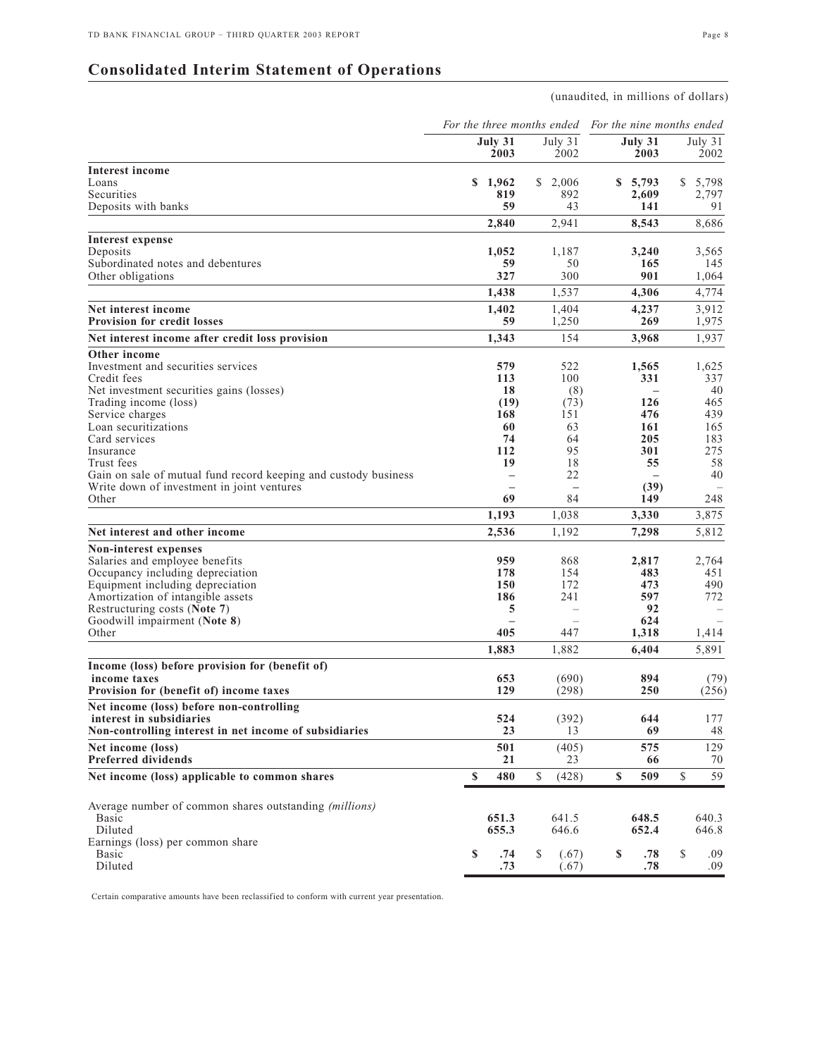# **Consolidated Interim Statement of Operations**

(unaudited, in millions of dollars)

|                                                                                    |                     |                          | For the three months ended For the nine months ended |                          |
|------------------------------------------------------------------------------------|---------------------|--------------------------|------------------------------------------------------|--------------------------|
|                                                                                    | July 31<br>2003     | July 31<br>2002          | July 31<br>2003                                      | July 31<br>2002          |
| <b>Interest income</b>                                                             |                     |                          |                                                      |                          |
| Loans                                                                              | \$1,962             | \$2,006                  | \$5,793                                              | 5,798<br>S               |
| Securities                                                                         | 819                 | 892                      | 2,609                                                | 2,797                    |
| Deposits with banks                                                                | 59                  | 43                       | 141                                                  | 91                       |
|                                                                                    | 2,840               | 2,941                    | 8,543                                                | 8,686                    |
| Interest expense                                                                   |                     |                          |                                                      |                          |
| Deposits                                                                           | 1,052               | 1,187                    | 3.240                                                | 3.565                    |
| Subordinated notes and debentures                                                  | 59                  | 50                       | 165                                                  | 145                      |
| Other obligations                                                                  | 327                 | 300                      | 901                                                  | 1,064                    |
|                                                                                    | 1,438               | 1,537                    | 4,306                                                | 4,774                    |
| Net interest income                                                                | 1,402               | 1,404                    | 4,237                                                | 3,912                    |
| <b>Provision for credit losses</b>                                                 | 59                  | 1,250                    | 269                                                  | 1,975                    |
| Net interest income after credit loss provision                                    | 1,343               | 154                      | 3,968                                                | 1,937                    |
| Other income<br>Investment and securities services                                 | 579                 | 522                      | 1,565                                                | 1,625                    |
| Credit fees                                                                        | 113                 | 100                      | 331                                                  | 337                      |
| Net investment securities gains (losses)                                           | 18                  | (8)                      | $\qquad \qquad -$                                    | 40                       |
| Trading income (loss)                                                              | (19)                | (73)                     | 126                                                  | 465                      |
| Service charges                                                                    | 168                 | 151                      | 476                                                  | 439                      |
| Loan securitizations                                                               | 60                  | 63                       | 161                                                  | 165                      |
| Card services                                                                      | 74                  | 64                       | 205                                                  | 183                      |
| Insurance                                                                          | 112                 | 95                       | 301                                                  | 275                      |
| Trust fees                                                                         | 19                  | 18                       | 55                                                   | 58                       |
| Gain on sale of mutual fund record keeping and custody business                    |                     | 22                       |                                                      | 40                       |
| Write down of investment in joint ventures                                         |                     | $\overline{\phantom{0}}$ | (39)                                                 |                          |
| Other                                                                              | 69                  | 84                       | 149                                                  | 248                      |
|                                                                                    | 1,193               | 1,038                    | 3,330                                                | 3,875                    |
| Net interest and other income                                                      | 2,536               | 1,192                    | 7,298                                                | 5,812                    |
| Non-interest expenses                                                              |                     |                          |                                                      |                          |
| Salaries and employee benefits                                                     | 959                 | 868                      | 2,817                                                | 2,764                    |
| Occupancy including depreciation                                                   | 178                 | 154                      | 483                                                  | 451                      |
| Equipment including depreciation                                                   | 150                 | 172                      | 473                                                  | 490                      |
| Amortization of intangible assets                                                  | 186                 | 241                      | 597                                                  | 772                      |
| Restructuring costs (Note 7)                                                       | 5                   | $\qquad \qquad -$        | 92                                                   |                          |
| Goodwill impairment (Note 8)                                                       |                     | $\overline{\phantom{0}}$ | 624                                                  |                          |
| Other                                                                              | 405                 | 447                      | 1,318                                                | 1,414                    |
|                                                                                    | 1,883               | 1,882                    | 6,404                                                | 5,891                    |
| Income (loss) before provision for (benefit of)                                    |                     |                          |                                                      |                          |
| income taxes                                                                       | 653                 | (690)                    | 894                                                  | (79)                     |
| Provision for (benefit of) income taxes                                            | 129                 | (298)                    | 250                                                  | (256)                    |
| Net income (loss) before non-controlling                                           |                     |                          |                                                      |                          |
| interest in subsidiaries<br>Non-controlling interest in net income of subsidiaries | 524<br>23           | (392)<br>13              | 644<br>69                                            | 177<br>48                |
|                                                                                    |                     |                          |                                                      |                          |
| Net income (loss)<br><b>Preferred dividends</b>                                    | 501<br>21           | (405)<br>23              | 575<br>66                                            | 129                      |
| Net income (loss) applicable to common shares                                      | $\mathbf{s}$<br>480 | $\mathbb S$<br>(428)     | \$<br>509                                            | 70<br>59<br>$\mathbb{S}$ |
|                                                                                    |                     |                          |                                                      |                          |
| Average number of common shares outstanding (millions)                             |                     |                          |                                                      |                          |
| Basic                                                                              | 651.3               | 641.5                    | 648.5                                                | 640.3                    |
| Diluted                                                                            | 655.3               | 646.6                    | 652.4                                                | 646.8                    |
| Earnings (loss) per common share                                                   |                     |                          |                                                      |                          |
| Basic                                                                              | \$<br>.74           | \$<br>(.67)              | \$<br>.78                                            | \$<br>.09                |
| Diluted                                                                            | .73                 | (.67)                    | .78                                                  | .09                      |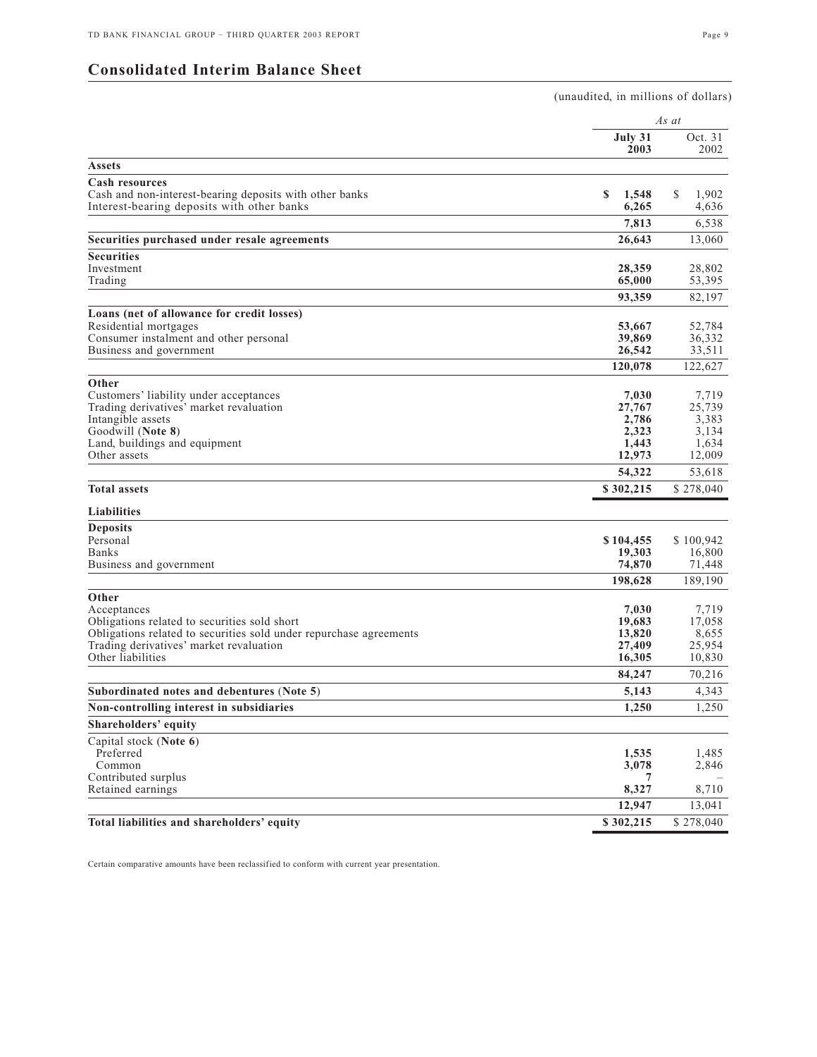# **Consolidated Interim Balance Sheet**

|                                                                                                       |                     | (unaudited, in millions of dollars) |  |  |  |
|-------------------------------------------------------------------------------------------------------|---------------------|-------------------------------------|--|--|--|
|                                                                                                       |                     | As at                               |  |  |  |
|                                                                                                       | July 31<br>2003     | Oct. 31<br>2002                     |  |  |  |
| Assets                                                                                                |                     |                                     |  |  |  |
| <b>Cash resources</b>                                                                                 |                     |                                     |  |  |  |
| Cash and non-interest-bearing deposits with other banks<br>Interest-bearing deposits with other banks | S<br>1,548<br>6,265 | \$<br>1,902<br>4,636                |  |  |  |
|                                                                                                       |                     |                                     |  |  |  |
|                                                                                                       | 7,813               | 6,538                               |  |  |  |
| Securities purchased under resale agreements                                                          | 26,643              | 13,060                              |  |  |  |
| <b>Securities</b>                                                                                     |                     |                                     |  |  |  |
| Investment<br>Trading                                                                                 | 28,359<br>65,000    | 28,802<br>53,395                    |  |  |  |
|                                                                                                       | 93,359              | 82,197                              |  |  |  |
|                                                                                                       |                     |                                     |  |  |  |
| Loans (net of allowance for credit losses)<br>Residential mortgages                                   | 53,667              | 52,784                              |  |  |  |
| Consumer instalment and other personal                                                                | 39,869              | 36,332                              |  |  |  |
| Business and government                                                                               | 26,542              | 33,511                              |  |  |  |
|                                                                                                       | 120,078             | 122,627                             |  |  |  |
| Other                                                                                                 |                     |                                     |  |  |  |
| Customers' liability under acceptances                                                                | 7,030               | 7,719                               |  |  |  |
| Trading derivatives' market revaluation                                                               | 27,767              | 25,739                              |  |  |  |
| Intangible assets                                                                                     | 2,786               | 3,383                               |  |  |  |
| Goodwill (Note 8)                                                                                     | 2,323<br>1,443      | 3,134                               |  |  |  |
| Land, buildings and equipment<br>Other assets                                                         | 12,973              | 1,634<br>12,009                     |  |  |  |
|                                                                                                       | 54,322              | 53,618                              |  |  |  |
| <b>Total assets</b>                                                                                   | \$302,215           | \$278,040                           |  |  |  |
|                                                                                                       |                     |                                     |  |  |  |
| <b>Liabilities</b>                                                                                    |                     |                                     |  |  |  |
| <b>Deposits</b>                                                                                       |                     |                                     |  |  |  |
| Personal                                                                                              | \$104,455           | \$100,942                           |  |  |  |
| Banks<br>Business and government                                                                      | 19,303<br>74,870    | 16,800<br>71,448                    |  |  |  |
|                                                                                                       | 198,628             | 189,190                             |  |  |  |
|                                                                                                       |                     |                                     |  |  |  |
| Other<br>Acceptances                                                                                  | 7,030               | 7,719                               |  |  |  |
| Obligations related to securities sold short                                                          | 19,683              | 17,058                              |  |  |  |
| Obligations related to securities sold under repurchase agreements                                    | 13,820              | 8,655                               |  |  |  |
| Trading derivatives' market revaluation                                                               | 27,409              | 25,954                              |  |  |  |
| Other liabilities                                                                                     | 16,305              | 10,830                              |  |  |  |
|                                                                                                       | 84,247              | 70,216                              |  |  |  |
| Subordinated notes and debentures (Note 5)                                                            | 5,143               | 4,343                               |  |  |  |
| Non-controlling interest in subsidiaries                                                              | 1,250               | 1,250                               |  |  |  |
| <b>Shareholders' equity</b>                                                                           |                     |                                     |  |  |  |
| Capital stock (Note 6)                                                                                |                     |                                     |  |  |  |
| Preferred                                                                                             | 1,535               | 1,485                               |  |  |  |
| Common                                                                                                | 3,078               | 2,846                               |  |  |  |
| Contributed surplus<br>Retained earnings                                                              | 7<br>8,327          | 8,710                               |  |  |  |
|                                                                                                       | 12,947              | 13,041                              |  |  |  |
| Total liabilities and shareholders' equity                                                            | \$302,215           | \$278,040                           |  |  |  |
|                                                                                                       |                     |                                     |  |  |  |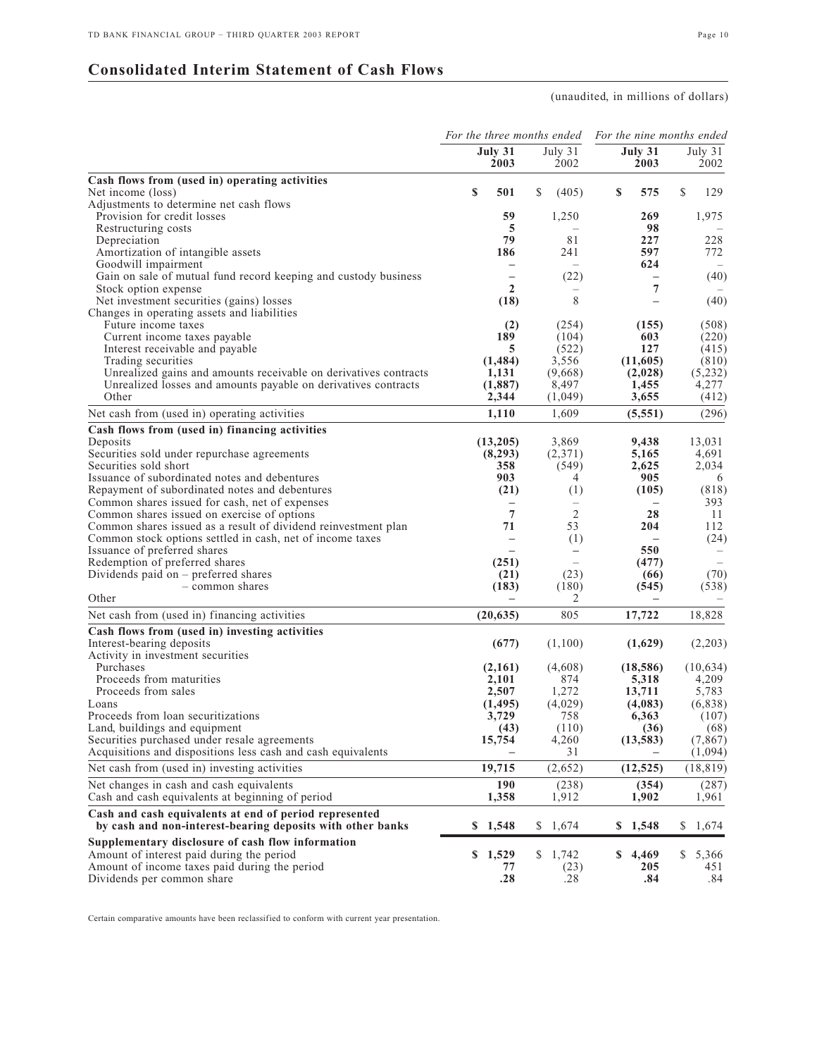# **Consolidated Interim Statement of Cash Flows**

## (unaudited, in millions of dollars)

|                                                                                                                      |                                          | For the three months ended       |                               | For the nine months ended |  |
|----------------------------------------------------------------------------------------------------------------------|------------------------------------------|----------------------------------|-------------------------------|---------------------------|--|
|                                                                                                                      | July 31<br>2003                          | July 31<br>2002                  | July 31<br>2003               | July $31$<br>2002         |  |
| Cash flows from (used in) operating activities                                                                       |                                          |                                  |                               |                           |  |
| Net income (loss)                                                                                                    | \$<br>501                                | \$<br>(405)                      | \$<br>575                     | \$<br>129                 |  |
| Adjustments to determine net cash flows                                                                              |                                          |                                  |                               |                           |  |
| Provision for credit losses                                                                                          | 59                                       | 1,250                            | 269                           | 1,975                     |  |
| Restructuring costs                                                                                                  | 5                                        |                                  | 98                            |                           |  |
| Depreciation                                                                                                         | 79                                       | 81                               | 227                           | 228                       |  |
| Amortization of intangible assets                                                                                    | 186                                      | 241                              | 597                           | 772                       |  |
| Goodwill impairment                                                                                                  |                                          | $-$                              | 624                           |                           |  |
| Gain on sale of mutual fund record keeping and custody business<br>Stock option expense                              | $\overline{\phantom{0}}$<br>$\mathbf{2}$ | (22)<br>$\overline{\phantom{0}}$ | $\overline{\phantom{0}}$<br>7 | (40)                      |  |
| Net investment securities (gains) losses                                                                             | (18)                                     | 8                                | $\equiv$                      | (40)                      |  |
| Changes in operating assets and liabilities                                                                          |                                          |                                  |                               |                           |  |
| Future income taxes                                                                                                  | (2)                                      | (254)                            | (155)                         | (508)                     |  |
| Current income taxes payable                                                                                         | 189                                      | (104)                            | 603                           | (220)                     |  |
| Interest receivable and payable                                                                                      | 5                                        | (522)                            | 127                           | (415)                     |  |
| Trading securities                                                                                                   | (1, 484)                                 | 3,556                            | (11,605)                      | (810)                     |  |
| Unrealized gains and amounts receivable on derivatives contracts                                                     | 1,131                                    | (9,668)                          | (2,028)                       | (5,232)                   |  |
| Unrealized losses and amounts payable on derivatives contracts                                                       | (1,887)                                  | 8,497                            | 1,455                         | 4,277                     |  |
| Other                                                                                                                | 2,344                                    | (1,049)                          | 3,655                         | (412)                     |  |
| Net cash from (used in) operating activities                                                                         | 1,110                                    | 1.609                            | (5,551)                       | (296)                     |  |
| Cash flows from (used in) financing activities                                                                       |                                          |                                  |                               |                           |  |
| Deposits                                                                                                             | (13,205)                                 | 3,869                            | 9,438                         | 13,031                    |  |
| Securities sold under repurchase agreements                                                                          | (8,293)                                  | (2,371)                          | 5,165                         | 4,691                     |  |
| Securities sold short                                                                                                | 358                                      | (549)                            | 2,625                         | 2,034                     |  |
| Issuance of subordinated notes and debentures                                                                        | 903                                      | 4                                | 905                           | 6                         |  |
| Repayment of subordinated notes and debentures                                                                       | (21)                                     | (1)                              | (105)                         | (818)                     |  |
| Common shares issued for cash, net of expenses                                                                       |                                          |                                  |                               | 393                       |  |
| Common shares issued on exercise of options                                                                          | $\overline{7}$                           | 2                                | 28                            | 11                        |  |
| Common shares issued as a result of dividend reinvestment plan                                                       | 71                                       | 53                               | 204                           | 112                       |  |
| Common stock options settled in cash, net of income taxes                                                            |                                          | (1)                              |                               | (24)                      |  |
| Issuance of preferred shares                                                                                         |                                          | $\overline{\phantom{0}}$         | 550                           |                           |  |
| Redemption of preferred shares                                                                                       | (251)                                    | $\overline{\phantom{0}}$         | (477)                         |                           |  |
| Dividends paid on $-$ preferred shares                                                                               | (21)                                     | (23)                             | (66)                          | (70)                      |  |
| - common shares                                                                                                      | (183)                                    | (180)                            | (545)                         | (538)                     |  |
| Other                                                                                                                |                                          | 2                                |                               |                           |  |
| Net cash from (used in) financing activities                                                                         | (20, 635)                                | 805                              | 17,722                        | 18,828                    |  |
| Cash flows from (used in) investing activities                                                                       |                                          |                                  |                               |                           |  |
| Interest-bearing deposits                                                                                            | (677)                                    | (1,100)                          | (1,629)                       | (2,203)                   |  |
| Activity in investment securities                                                                                    |                                          |                                  |                               |                           |  |
| Purchases<br>Proceeds from maturities                                                                                | (2,161)<br>2,101                         | (4,608)<br>874                   | (18, 586)                     | (10, 634)                 |  |
| Proceeds from sales                                                                                                  | 2,507                                    | 1,272                            | 5,318                         | 4,209<br>5,783            |  |
| Loans                                                                                                                | (1, 495)                                 | (4,029)                          | 13,711<br>(4,083)             | (6,838)                   |  |
| Proceeds from loan securitizations                                                                                   | 3,729                                    | 758                              | 6,363                         | (107)                     |  |
| Land, buildings and equipment                                                                                        | (43)                                     | (110)                            | (36)                          | (68)                      |  |
| Securities purchased under resale agreements                                                                         | 15,754                                   | 4,260                            | (13, 583)                     | (7, 867)                  |  |
| Acquisitions and dispositions less cash and cash equivalents                                                         |                                          | 31                               |                               | (1,094)                   |  |
| Net cash from (used in) investing activities                                                                         | 19,715                                   | (2,652)                          | (12, 525)                     | (18, 819)                 |  |
| Net changes in cash and cash equivalents                                                                             | 190                                      | (238)                            | (354)                         | (287)                     |  |
| Cash and cash equivalents at beginning of period                                                                     | 1,358                                    | 1,912                            | 1,902                         | 1,961                     |  |
| Cash and cash equivalents at end of period represented<br>by cash and non-interest-bearing deposits with other banks | \$1,548                                  | \$1,674                          | \$1,548                       | \$<br>1,674               |  |
|                                                                                                                      |                                          |                                  |                               |                           |  |
| Supplementary disclosure of cash flow information                                                                    | \$1,529                                  | 1,742                            | \$4,469                       | 5,366                     |  |
| Amount of interest paid during the period<br>Amount of income taxes paid during the period                           | 77                                       | S.                               | 205                           | S<br>451                  |  |
| Dividends per common share                                                                                           | .28                                      | (23)<br>.28                      | .84                           | .84                       |  |
|                                                                                                                      |                                          |                                  |                               |                           |  |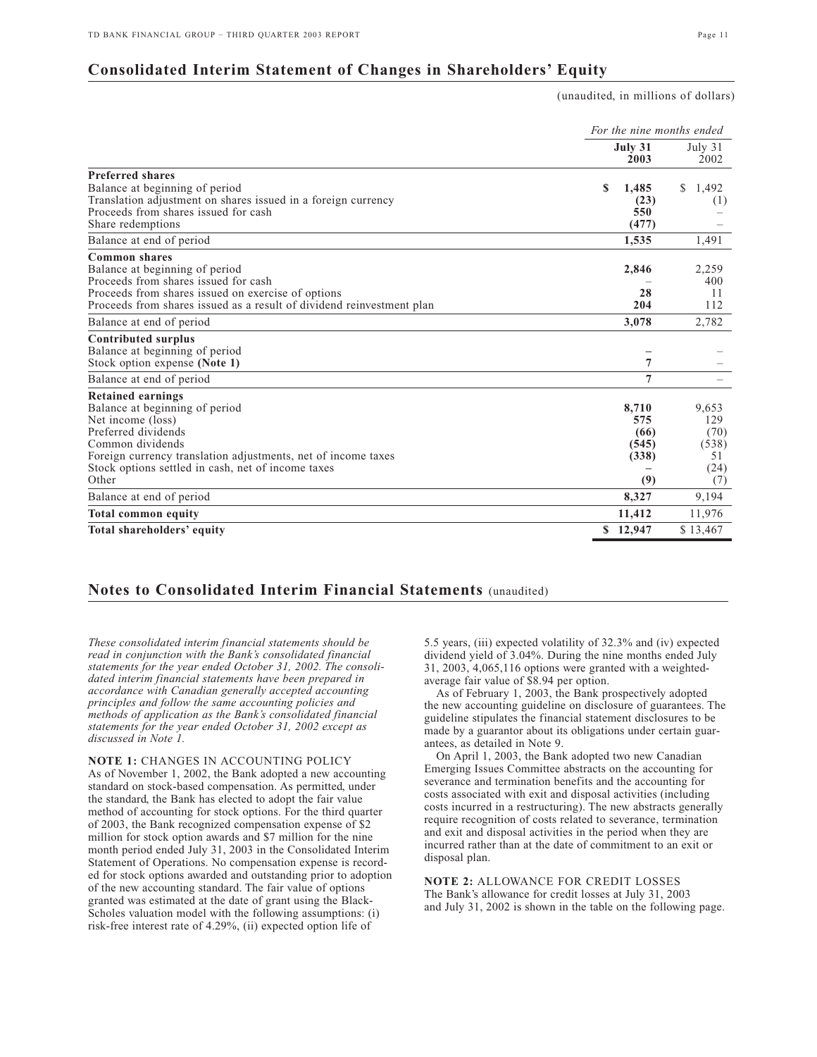# **Consolidated Interim Statement of Changes in Shareholders' Equity**

(unaudited, in millions of dollars)

|                                                                                                                                                                                                                                                            | For the nine months ended |                                      |                                                    |  |
|------------------------------------------------------------------------------------------------------------------------------------------------------------------------------------------------------------------------------------------------------------|---------------------------|--------------------------------------|----------------------------------------------------|--|
|                                                                                                                                                                                                                                                            | July 31                   | 2003                                 | July 31<br>2002                                    |  |
| <b>Preferred shares</b><br>Balance at beginning of period<br>Translation adjustment on shares issued in a foreign currency<br>Proceeds from shares issued for cash<br>Share redemptions                                                                    | S<br>1,485                | (23)<br>550<br>(477)                 | 1,492<br>S.<br>(1)                                 |  |
| Balance at end of period                                                                                                                                                                                                                                   | 1,535                     |                                      | 1,491                                              |  |
| <b>Common shares</b><br>Balance at beginning of period<br>Proceeds from shares issued for cash<br>Proceeds from shares issued on exercise of options<br>Proceeds from shares issued as a result of dividend reinvestment plan                              | 2,846                     | 28<br>204                            | 2,259<br>400<br>11<br>112                          |  |
| Balance at end of period                                                                                                                                                                                                                                   | 3,078                     |                                      | 2,782                                              |  |
| <b>Contributed surplus</b><br>Balance at beginning of period<br>Stock option expense (Note 1)                                                                                                                                                              |                           | $\overline{7}$                       |                                                    |  |
| Balance at end of period                                                                                                                                                                                                                                   |                           | 7                                    |                                                    |  |
| <b>Retained earnings</b><br>Balance at beginning of period<br>Net income (loss)<br>Preferred dividends<br>Common dividends<br>Foreign currency translation adjustments, net of income taxes<br>Stock options settled in cash, net of income taxes<br>Other | 8,710                     | 575<br>(66)<br>(545)<br>(338)<br>(9) | 9,653<br>129<br>(70)<br>(538)<br>51<br>(24)<br>(7) |  |
| Balance at end of period                                                                                                                                                                                                                                   | 8,327                     |                                      | 9,194                                              |  |
| <b>Total common equity</b>                                                                                                                                                                                                                                 | 11,412                    |                                      | 11,976                                             |  |
| Total shareholders' equity                                                                                                                                                                                                                                 | \$12,947                  |                                      | \$13,467                                           |  |

## **Notes to Consolidated Interim Financial Statements** (unaudited)

*These consolidated interim financial statements should be read in conjunction with the Bank's consolidated financial statements for the year ended October 31, 2002. The consolidated interim financial statements have been prepared in accordance with Canadian generally accepted accounting principles and follow the same accounting policies and methods of application as the Bank's consolidated financial statements for the year ended October 31, 2002 except as discussed in Note 1.* 

**NOTE 1:** CHANGES IN ACCOUNTING POLICY As of November 1, 2002, the Bank adopted a new accounting standard on stock-based compensation. As permitted, under the standard, the Bank has elected to adopt the fair value method of accounting for stock options. For the third quarter of 2003, the Bank recognized compensation expense of \$2 million for stock option awards and \$7 million for the nine month period ended July 31, 2003 in the Consolidated Interim Statement of Operations. No compensation expense is recorded for stock options awarded and outstanding prior to adoption of the new accounting standard. The fair value of options granted was estimated at the date of grant using the Black-Scholes valuation model with the following assumptions: (i) risk-free interest rate of 4.29%, (ii) expected option life of

5.5 years, (iii) expected volatility of 32.3% and (iv) expected dividend yield of 3.04%. During the nine months ended July 31, 2003, 4,065,116 options were granted with a weightedaverage fair value of \$8.94 per option.

As of February 1, 2003, the Bank prospectively adopted the new accounting guideline on disclosure of guarantees. The guideline stipulates the financial statement disclosures to be made by a guarantor about its obligations under certain guarantees, as detailed in Note 9.

On April 1, 2003, the Bank adopted two new Canadian Emerging Issues Committee abstracts on the accounting for severance and termination benefits and the accounting for costs associated with exit and disposal activities (including costs incurred in a restructuring). The new abstracts generally require recognition of costs related to severance, termination and exit and disposal activities in the period when they are incurred rather than at the date of commitment to an exit or disposal plan.

**NOTE 2:** ALLOWANCE FOR CREDIT LOSSES The Bank's allowance for credit losses at July 31, 2003 and July 31, 2002 is shown in the table on the following page.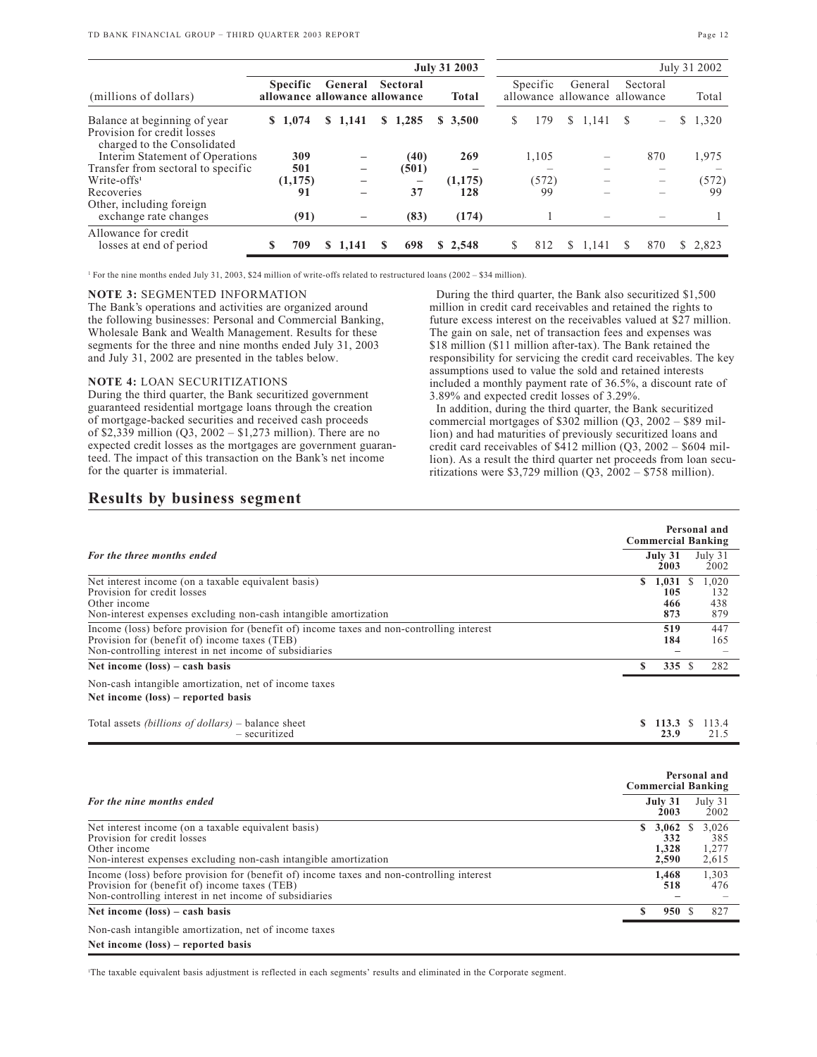|                                                                |                                                                         | <b>July 31 2003</b> |  |                          |              |         |          | July 31 2002                                         |    |       |  |         |     |     |   |         |
|----------------------------------------------------------------|-------------------------------------------------------------------------|---------------------|--|--------------------------|--------------|---------|----------|------------------------------------------------------|----|-------|--|---------|-----|-----|---|---------|
| (millions of dollars)                                          | <b>Specific</b><br>Sectoral<br>General<br>allowance allowance allowance |                     |  |                          | <b>Total</b> |         | Specific | Sectoral<br>General<br>allowance allowance allowance |    |       |  | Total   |     |     |   |         |
| Balance at beginning of year<br>Provision for credit losses    | \$1.074                                                                 |                     |  | \$1.141                  |              | \$1,285 |          | \$3,500                                              | S. | 179   |  | \$1,141 | \$. |     | S | 1,320   |
| charged to the Consolidated<br>Interim Statement of Operations |                                                                         | 309                 |  |                          |              | (40)    |          | 269                                                  |    | 1,105 |  |         |     | 870 |   | 1,975   |
| Transfer from sectoral to specific<br>$Write-offs1$            |                                                                         | 501<br>(1, 175)     |  | $\overline{\phantom{m}}$ |              | (501)   |          | (1, 175)                                             |    | (572) |  |         |     |     |   | (572)   |
| Recoveries<br>Other, including foreign                         |                                                                         | 91                  |  |                          |              | 37      |          | 128                                                  |    | 99    |  |         |     |     |   | 99      |
| exchange rate changes                                          |                                                                         | (91)                |  |                          |              | (83)    |          | (174)                                                |    |       |  |         |     |     |   |         |
| Allowance for credit<br>losses at end of period                | S                                                                       | 709                 |  | \$1,141                  | S            | 698     |          | \$2,548                                              | S. | 812   |  | \$1,141 | S   | 870 |   | \$2,823 |
|                                                                |                                                                         |                     |  |                          |              |         |          |                                                      |    |       |  |         |     |     |   |         |

<sup>1</sup> For the nine months ended July 31, 2003, \$24 million of write-offs related to restructured loans (2002 – \$34 million).

## **NOTE 3:** SEGMENTED INFORMATION

The Bank's operations and activities are organized around the following businesses: Personal and Commercial Banking, Wholesale Bank and Wealth Management. Results for these segments for the three and nine months ended July 31, 2003 and July 31, 2002 are presented in the tables below.

## **NOTE 4:** LOAN SECURITIZATIONS

During the third quarter, the Bank securitized government guaranteed residential mortgage loans through the creation of mortgage-backed securities and received cash proceeds of \$2,339 million (Q3, 2002 – \$1,273 million). There are no expected credit losses as the mortgages are government guaranteed. The impact of this transaction on the Bank's net income for the quarter is immaterial.

## During the third quarter, the Bank also securitized \$1,500 million in credit card receivables and retained the rights to future excess interest on the receivables valued at \$27 million. The gain on sale, net of transaction fees and expenses was \$18 million (\$11 million after-tax). The Bank retained the responsibility for servicing the credit card receivables. The key assumptions used to value the sold and retained interests included a monthly payment rate of 36.5%, a discount rate of 3.89% and expected credit losses of 3.29%.

In addition, during the third quarter, the Bank securitized commercial mortgages of \$302 million (Q3, 2002 – \$89 million) and had maturities of previously securitized loans and credit card receivables of \$412 million  $(Q3, 2002 - $604$  million). As a result the third quarter net proceeds from loan securitizations were \$3,729 million  $(Q3, 2002 - $758$  million).

# **Results by business segment**

|                                                                                                                                                                                                      | Personal and<br><b>Commercial Banking</b>                            |  |  |  |  |  |  |
|------------------------------------------------------------------------------------------------------------------------------------------------------------------------------------------------------|----------------------------------------------------------------------|--|--|--|--|--|--|
| For the three months ended                                                                                                                                                                           | July 31<br>July 31<br>2002<br>2003                                   |  |  |  |  |  |  |
| Net interest income (on a taxable equivalent basis)<br>Provision for credit losses<br>Other income<br>Non-interest expenses excluding non-cash intangible amortization                               | 1,031<br>1,020<br>\$<br>-S<br>105<br>132<br>438<br>466<br>879<br>873 |  |  |  |  |  |  |
| Income (loss) before provision for (benefit of) income taxes and non-controlling interest<br>Provision for (benefit of) income taxes (TEB)<br>Non-controlling interest in net income of subsidiaries | 519<br>447<br>184<br>165                                             |  |  |  |  |  |  |
| Net income $(\text{loss}) - \text{cash basis}$                                                                                                                                                       | 282<br>335 S                                                         |  |  |  |  |  |  |
| Non-cash intangible amortization, net of income taxes<br>Net income (loss) – reported basis                                                                                                          |                                                                      |  |  |  |  |  |  |
| Total assets <i>(billions of dollars)</i> – balance sheet<br>- securitized                                                                                                                           | 113.4<br>S.<br>113.3 S<br>23.9<br>21.5                               |  |  |  |  |  |  |

|                                                                                                                                                                                                      | Personal and<br><b>Commercial Banking</b> |                 |  |  |  |  |  |
|------------------------------------------------------------------------------------------------------------------------------------------------------------------------------------------------------|-------------------------------------------|-----------------|--|--|--|--|--|
| For the nine months ended                                                                                                                                                                            | July 31<br>2003                           | July 31<br>2002 |  |  |  |  |  |
| Net interest income (on a taxable equivalent basis)                                                                                                                                                  | $$3,062$ S                                | 3,026           |  |  |  |  |  |
| Provision for credit losses<br>Other income                                                                                                                                                          | 332<br>1.328                              | 385<br>1,277    |  |  |  |  |  |
| Non-interest expenses excluding non-cash intangible amortization                                                                                                                                     | 2,590                                     | 2,615           |  |  |  |  |  |
| Income (loss) before provision for (benefit of) income taxes and non-controlling interest<br>Provision for (benefit of) income taxes (TEB)<br>Non-controlling interest in net income of subsidiaries | 1,468<br>518                              | 1,303<br>476    |  |  |  |  |  |
| Net income $(\text{loss})$ – cash basis                                                                                                                                                              | 950S                                      | 827             |  |  |  |  |  |
| Non-cash intangible amortization, net of income taxes                                                                                                                                                |                                           |                 |  |  |  |  |  |
| Net income $(\text{loss})$ – reported basis                                                                                                                                                          |                                           |                 |  |  |  |  |  |

1 The taxable equivalent basis adjustment is reflected in each segments' results and eliminated in the Corporate segment.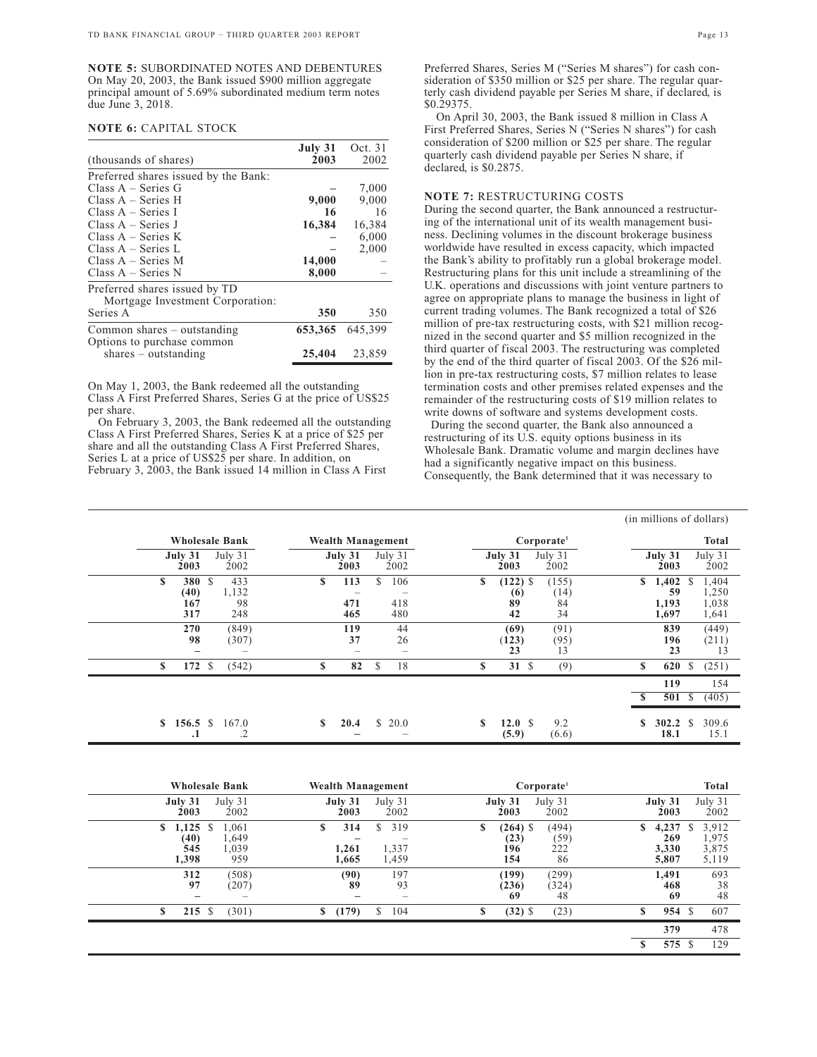**NOTE 5:** SUBORDINATED NOTES AND DEBENTURES On May 20, 2003, the Bank issued \$900 million aggregate principal amount of 5.69% subordinated medium term notes due June 3, 2018.

### **NOTE 6:** CAPITAL STOCK

| (thousands of shares)                | July 31<br>2003 | Oct. 31<br>2002 |
|--------------------------------------|-----------------|-----------------|
|                                      |                 |                 |
| Preferred shares issued by the Bank: |                 |                 |
| Class $A - Series G$                 |                 | 7,000           |
| $Class A - Series H$                 | 9,000           | 9,000           |
| $Class A - Series I$                 | 16              | 16              |
| $Class A - Series J$                 | 16,384          | 16,384          |
| Class $A - Series K$                 |                 | 6,000           |
| Class $A - Series L$                 |                 | 2,000           |
| Class $A - Series M$                 | 14,000          |                 |
| $Class A - Series N$                 | 8,000           |                 |
| Preferred shares issued by TD        |                 |                 |
| Mortgage Investment Corporation:     |                 |                 |
| Series A                             | 350             | 350             |
| Common shares $-$ outstanding        | 653,365         | 645,399         |
| Options to purchase common           |                 |                 |
| $shares - outstanding$               | 25,404          | 23,859          |

On May 1, 2003, the Bank redeemed all the outstanding Class A First Preferred Shares, Series G at the price of US\$25 per share.

On February 3, 2003, the Bank redeemed all the outstanding Class A First Preferred Shares, Series K at a price of \$25 per share and all the outstanding Class A First Preferred Shares, Series L at a price of US\$25 per share. In addition, on February 3, 2003, the Bank issued 14 million in Class A First

Preferred Shares, Series M ("Series M shares") for cash consideration of \$350 million or \$25 per share. The regular quarterly cash dividend payable per Series M share, if declared, is \$0.29375.

On April 30, 2003, the Bank issued 8 million in Class A First Preferred Shares, Series N ("Series N shares") for cash consideration of \$200 million or \$25 per share. The regular quarterly cash dividend payable per Series N share, if declared, is \$0.2875.

## **NOTE 7:** RESTRUCTURING COSTS

During the second quarter, the Bank announced a restructuring of the international unit of its wealth management business. Declining volumes in the discount brokerage business worldwide have resulted in excess capacity, which impacted the Bank's ability to profitably run a global brokerage model. Restructuring plans for this unit include a streamlining of the U.K. operations and discussions with joint venture partners to agree on appropriate plans to manage the business in light of current trading volumes. The Bank recognized a total of \$26 million of pre-tax restructuring costs, with \$21 million recognized in the second quarter and \$5 million recognized in the third quarter of fiscal 2003. The restructuring was completed by the end of the third quarter of fiscal 2003. Of the \$26 million in pre-tax restructuring costs, \$7 million relates to lease termination costs and other premises related expenses and the remainder of the restructuring costs of \$19 million relates to write downs of software and systems development costs.

During the second quarter, the Bank also announced a restructuring of its U.S. equity options business in its Wholesale Bank. Dramatic volume and margin declines have had a significantly negative impact on this business. Consequently, the Bank determined that it was necessary to

|                                   |                           |                                   |                         |                                                                  | (in millions of dollars)                                                     |
|-----------------------------------|---------------------------|-----------------------------------|-------------------------|------------------------------------------------------------------|------------------------------------------------------------------------------|
|                                   | <b>Wholesale Bank</b>     | Wealth Management                 |                         | Corporate <sup>1</sup>                                           | Total                                                                        |
| July 31<br>2003                   | July 31<br>2002           | July 31<br>2003                   | July 31<br>2002         | July 31<br>July 31<br>2002<br>2003                               | July 31<br>July 31<br>2002<br>2003                                           |
| \$<br>380 S<br>(40)<br>167<br>317 | 433<br>1,132<br>98<br>248 | $\mathbf{s}$<br>113<br>471<br>465 | S.<br>106<br>418<br>480 | \$<br>$(122)$ \$<br>(155)<br>(14)<br>(6)<br>89<br>84<br>34<br>42 | \$<br>1,402<br>S<br>1,404<br>1,250<br>59<br>1,038<br>1,193<br>1,641<br>1,697 |
| 270<br>98<br>-                    | (849)<br>(307)            | 119<br>37                         | 44<br>26                | (91)<br>(69)<br>(123)<br>(95)<br>23<br>13                        | 839<br>(449)<br>196<br>(211)<br>23<br>13                                     |
| \$<br>172 \$                      | (542)                     | S<br>82                           | 18<br>\$                | 31S<br>(9)<br>S                                                  | \$<br>620<br>\$<br>(251)                                                     |
|                                   |                           |                                   |                         |                                                                  | 119<br>154<br>501<br>(405)<br>-S                                             |
| 156.5 S<br>S<br>. 1               | 167.0<br>.2               | 20.4<br>S.                        | $\mathbb{S}$<br>20.0    | \$<br>12.0 S<br>9.2<br>(5.9)<br>(6.6)                            | S<br>309.6<br>\$<br>302.2<br>18.1<br>15.1                                    |

| <b>Wholesale Bank</b>                    |                                            | Wealth Management          |                                                                                        |                                       | Corporate <sup>1</sup>     |                                      | <b>Total</b>                          |
|------------------------------------------|--------------------------------------------|----------------------------|----------------------------------------------------------------------------------------|---------------------------------------|----------------------------|--------------------------------------|---------------------------------------|
| July 31<br>2003                          | July 31<br>2002                            | July 31<br>2003            | July 31<br>2002                                                                        | July 31<br>2003                       | July 31<br>2002            | July 31<br>2003                      | July 31<br>2002                       |
| $1,125$ \$<br>\$<br>(40)<br>545<br>1,398 | 1,061<br>1,649<br>1,039<br>959             | S<br>314<br>1,261<br>1,665 | 319<br>S.<br>1,337<br>1,459                                                            | $(264)$ \$<br>S<br>(23)<br>196<br>154 | (494)<br>(59)<br>222<br>86 | 4,237<br>\$<br>269<br>3,330<br>5,807 | 3,912<br>S<br>1,975<br>3,875<br>5,119 |
| 312<br>97                                | (508)<br>(207)<br>$\overline{\phantom{a}}$ | (90)<br>89                 | 197<br>93<br>$\hspace{1.0cm} \rule{1.5cm}{0.15cm} \hspace{1.0cm} \rule{1.5cm}{0.15cm}$ | (199)<br>(236)<br>69                  | (299)<br>(324)<br>48       | 1,491<br>468<br>69                   | 693<br>38<br>48                       |
| $\mathbf{s}$<br>215S                     | (301)                                      | S<br>(179)                 | 104<br>\$                                                                              | $(32)$ \$<br>S                        | (23)                       | S<br>954 \$                          | 607                                   |
|                                          |                                            |                            |                                                                                        |                                       |                            | 379<br>575 S<br>\$                   | 478<br>129                            |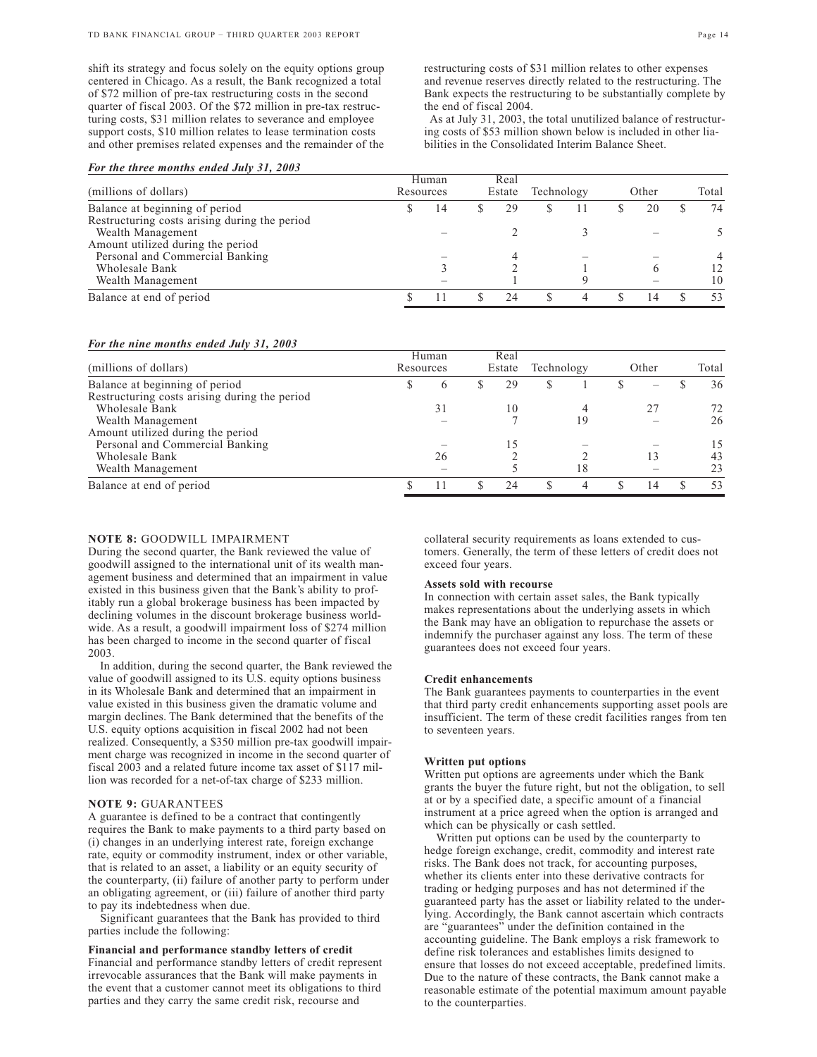shift its strategy and focus solely on the equity options group centered in Chicago. As a result, the Bank recognized a total of \$72 million of pre-tax restructuring costs in the second quarter of fiscal 2003. Of the \$72 million in pre-tax restructuring costs, \$31 million relates to severance and employee support costs, \$10 million relates to lease termination costs and other premises related expenses and the remainder of the

As at July 31, 2003, the total unutilized balance of restructuring costs of \$53 million shown below is included in other liabilities in the Consolidated Interim Balance Sheet.

|                                               | Human<br>Resources |    | Real   |    |            |   |       |    |       |    |
|-----------------------------------------------|--------------------|----|--------|----|------------|---|-------|----|-------|----|
| (millions of dollars)                         |                    |    | Estate |    | Technology |   | Other |    | Total |    |
| Balance at beginning of period                |                    | 14 |        | 29 | .ъ         |   |       | 20 |       | 74 |
| Restructuring costs arising during the period |                    |    |        |    |            |   |       |    |       |    |
| Wealth Management                             |                    |    |        |    |            |   |       |    |       |    |
| Amount utilized during the period             |                    |    |        |    |            |   |       |    |       |    |
| Personal and Commercial Banking               |                    |    |        |    |            |   |       |    |       | 4  |
| Wholesale Bank                                |                    |    |        |    |            |   |       |    |       |    |
| Wealth Management                             |                    |    |        |    |            | Q |       |    |       | 10 |
| Balance at end of period                      |                    |    |        | 24 |            | 4 |       |    |       | 53 |

### *For the nine months ended July 31, 2003*

|                                               |           | Human | Real   |     |            |    |       |    |       |
|-----------------------------------------------|-----------|-------|--------|-----|------------|----|-------|----|-------|
| (millions of dollars)                         | Resources |       | Estate |     | Technology |    | Other |    | Total |
| Balance at beginning of period                |           | 6     |        | 29  | S          |    |       | -  | 36    |
| Restructuring costs arising during the period |           |       |        |     |            |    |       |    |       |
| Wholesale Bank                                |           |       |        | 10  |            |    |       | 27 | 72    |
| Wealth Management                             |           |       |        |     |            | 19 |       |    | 26    |
| Amount utilized during the period             |           |       |        |     |            |    |       |    |       |
| Personal and Commercial Banking               |           |       |        |     |            |    |       |    | 15    |
| Wholesale Bank                                |           | 26    |        |     |            |    |       | 13 | 43    |
| Wealth Management                             |           |       |        |     |            | 18 |       |    | 23    |
| Balance at end of period                      |           |       |        | 2.4 |            | 4  |       | 14 | 53    |

### **NOTE 8:** GOODWILL IMPAIRMENT

During the second quarter, the Bank reviewed the value of goodwill assigned to the international unit of its wealth management business and determined that an impairment in value existed in this business given that the Bank's ability to profitably run a global brokerage business has been impacted by declining volumes in the discount brokerage business worldwide. As a result, a goodwill impairment loss of \$274 million has been charged to income in the second quarter of fiscal 2003.

In addition, during the second quarter, the Bank reviewed the value of goodwill assigned to its U.S. equity options business in its Wholesale Bank and determined that an impairment in value existed in this business given the dramatic volume and margin declines. The Bank determined that the benefits of the U.S. equity options acquisition in fiscal 2002 had not been realized. Consequently, a \$350 million pre-tax goodwill impairment charge was recognized in income in the second quarter of fiscal 2003 and a related future income tax asset of \$117 million was recorded for a net-of-tax charge of \$233 million.

## **NOTE 9:** GUARANTEES

A guarantee is defined to be a contract that contingently requires the Bank to make payments to a third party based on (i) changes in an underlying interest rate, foreign exchange rate, equity or commodity instrument, index or other variable, that is related to an asset, a liability or an equity security of the counterparty, (ii) failure of another party to perform under an obligating agreement, or (iii) failure of another third party to pay its indebtedness when due.

Significant guarantees that the Bank has provided to third parties include the following:

#### **Financial and performance standby letters of credit**

Financial and performance standby letters of credit represent irrevocable assurances that the Bank will make payments in the event that a customer cannot meet its obligations to third parties and they carry the same credit risk, recourse and

collateral security requirements as loans extended to customers. Generally, the term of these letters of credit does not exceed four years.

#### **Assets sold with recourse**

In connection with certain asset sales, the Bank typically makes representations about the underlying assets in which the Bank may have an obligation to repurchase the assets or indemnify the purchaser against any loss. The term of these guarantees does not exceed four years.

### **Credit enhancements**

The Bank guarantees payments to counterparties in the event that third party credit enhancements supporting asset pools are insufficient. The term of these credit facilities ranges from ten to seventeen years.

### **Written put options**

Written put options are agreements under which the Bank grants the buyer the future right, but not the obligation, to sell at or by a specified date, a specific amount of a financial instrument at a price agreed when the option is arranged and which can be physically or cash settled.

Written put options can be used by the counterparty to hedge foreign exchange, credit, commodity and interest rate risks. The Bank does not track, for accounting purposes, whether its clients enter into these derivative contracts for trading or hedging purposes and has not determined if the guaranteed party has the asset or liability related to the underlying. Accordingly, the Bank cannot ascertain which contracts are "guarantees" under the definition contained in the accounting guideline. The Bank employs a risk framework to define risk tolerances and establishes limits designed to ensure that losses do not exceed acceptable, predefined limits. Due to the nature of these contracts, the Bank cannot make a reasonable estimate of the potential maximum amount payable to the counterparties.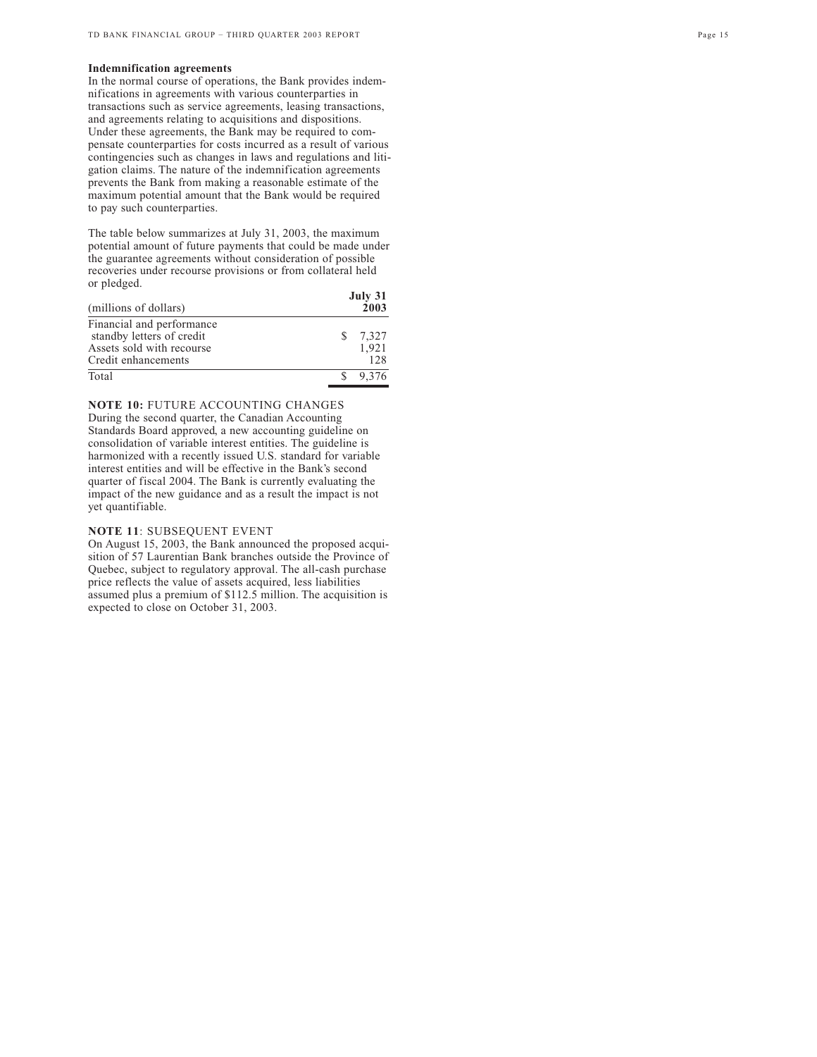## **Indemnification agreements**

In the normal course of operations, the Bank provides indemnifications in agreements with various counterparties in transactions such as service agreements, leasing transactions, and agreements relating to acquisitions and dispositions. Under these agreements, the Bank may be required to compensate counterparties for costs incurred as a result of various contingencies such as changes in laws and regulations and litigation claims. The nature of the indemnification agreements prevents the Bank from making a reasonable estimate of the maximum potential amount that the Bank would be required to pay such counterparties.

The table below summarizes at July 31, 2003, the maximum potential amount of future payments that could be made under the guarantee agreements without consideration of possible recoveries under recourse provisions or from collateral held or pledged. **July 31**

| (millions of dollars)                                                                                      | July 31<br>2003       |
|------------------------------------------------------------------------------------------------------------|-----------------------|
| Financial and performance<br>standby letters of credit<br>Assets sold with recourse<br>Credit enhancements | 7.327<br>1.921<br>128 |
| Total                                                                                                      | 9.376                 |

**NOTE 10:** FUTURE ACCOUNTING CHANGES During the second quarter, the Canadian Accounting Standards Board approved, a new accounting guideline on consolidation of variable interest entities. The guideline is harmonized with a recently issued U.S. standard for variable interest entities and will be effective in the Bank's second quarter of fiscal 2004. The Bank is currently evaluating the impact of the new guidance and as a result the impact is not yet quantifiable.

### **NOTE 11** : SUBSEQUENT EVENT

On August 15, 2003, the Bank announced the proposed acquisition of 57 Laurentian Bank branches outside the Province of Quebec, subject to regulatory approval. The all-cash purchase price reflects the value of assets acquired, less liabilities assumed plus a premium of \$112.5 million. The acquisition is expected to close on October 31, 2003.